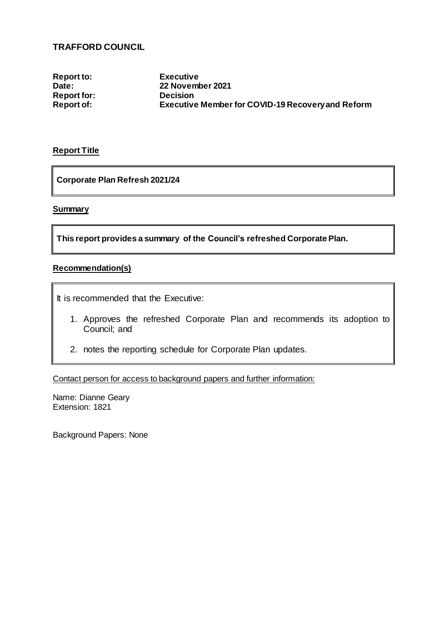### **TRAFFORD COUNCIL**

**Report to: Executive Report for:<br>Report of:** 

**Date: 22 November 2021 Executive Member for COVID-19 Recovery and Reform** 

#### **Report Title**

**Corporate Plan Refresh 2021/24**

#### **Summary**

**This report provides a summary of the Council's refreshed Corporate Plan.**

#### **Recommendation(s)**

It is recommended that the Executive:

- 1. Approves the refreshed Corporate Plan and recommends its adoption to Council; and
- 2. notes the reporting schedule for Corporate Plan updates.

Contact person for access to background papers and further information:

Name: Dianne Geary Extension: 1821

Background Papers: None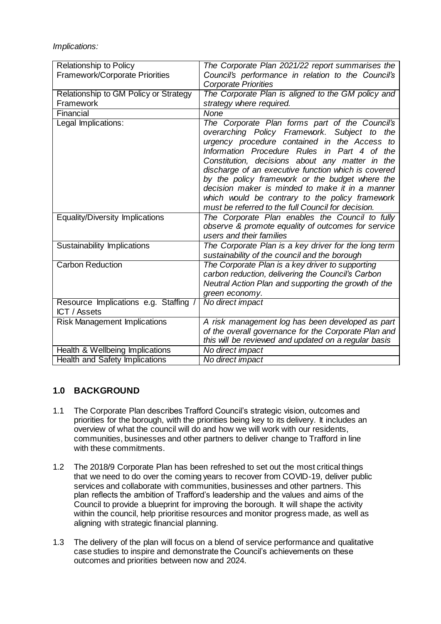*Implications:*

| <b>Relationship to Policy</b>                                | The Corporate Plan 2021/22 report summarises the     |
|--------------------------------------------------------------|------------------------------------------------------|
| Framework/Corporate Priorities                               | Council's performance in relation to the Council's   |
|                                                              | <b>Corporate Priorities</b>                          |
| Relationship to GM Policy or Strategy                        | The Corporate Plan is aligned to the GM policy and   |
| Framework                                                    | strategy where required.                             |
| Financial                                                    | None                                                 |
| Legal Implications:                                          | The Corporate Plan forms part of the Council's       |
|                                                              | overarching Policy Framework. Subject to the         |
|                                                              | urgency procedure contained in the Access to         |
|                                                              | Information Procedure Rules in Part 4 of the         |
|                                                              | Constitution, decisions about any matter in the      |
|                                                              | discharge of an executive function which is covered  |
|                                                              | by the policy framework or the budget where the      |
|                                                              | decision maker is minded to make it in a manner      |
|                                                              | which would be contrary to the policy framework      |
|                                                              | must be referred to the full Council for decision.   |
| Equality/Diversity Implications                              | The Corporate Plan enables the Council to fully      |
|                                                              | observe & promote equality of outcomes for service   |
|                                                              | users and their families                             |
| Sustainability Implications                                  | The Corporate Plan is a key driver for the long term |
|                                                              | sustainability of the council and the borough        |
| <b>Carbon Reduction</b>                                      | The Corporate Plan is a key driver to supporting     |
|                                                              | carbon reduction, delivering the Council's Carbon    |
|                                                              | Neutral Action Plan and supporting the growth of the |
|                                                              | green economy.<br>No direct impact                   |
| Resource Implications e.g. Staffing /<br><b>ICT</b> / Assets |                                                      |
| <b>Risk Management Implications</b>                          | A risk management log has been developed as part     |
|                                                              | of the overall governance for the Corporate Plan and |
|                                                              | this will be reviewed and updated on a regular basis |
| Health & Wellbeing Implications                              | No direct impact                                     |
| <b>Health and Safety Implications</b>                        | No direct impact                                     |

## **1.0 BACKGROUND**

- 1.1 The Corporate Plan describes Trafford Council's strategic vision, outcomes and priorities for the borough, with the priorities being key to its delivery. It includes an overview of what the council will do and how we will work with our residents, communities, businesses and other partners to deliver change to Trafford in line with these commitments.
- 1.2 The 2018/9 Corporate Plan has been refreshed to set out the most critical things that we need to do over the coming years to recover from COVID-19, deliver public services and collaborate with communities, businesses and other partners. This plan reflects the ambition of Trafford's leadership and the values and aims of the Council to provide a blueprint for improving the borough. It will shape the activity within the council, help prioritise resources and monitor progress made, as well as aligning with strategic financial planning.
- 1.3 The delivery of the plan will focus on a blend of service performance and qualitative case studies to inspire and demonstrate the Council's achievements on these outcomes and priorities between now and 2024.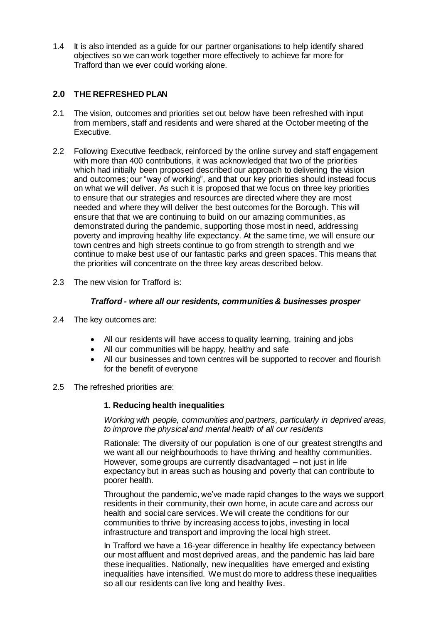1.4 It is also intended as a guide for our partner organisations to help identify shared objectives so we can work together more effectively to achieve far more for Trafford than we ever could working alone.

## **2.0 THE REFRESHED PLAN**

- 2.1 The vision, outcomes and priorities set out below have been refreshed with input from members, staff and residents and were shared at the October meeting of the Executive.
- 2.2 Following Executive feedback, reinforced by the online survey and staff engagement with more than 400 contributions, it was acknowledged that two of the priorities which had initially been proposed described our approach to delivering the vision and outcomes; our "way of working", and that our key priorities should instead focus on what we will deliver. As such it is proposed that we focus on three key priorities to ensure that our strategies and resources are directed where they are most needed and where they will deliver the best outcomes for the Borough. This will ensure that that we are continuing to build on our amazing communities, as demonstrated during the pandemic, supporting those most in need, addressing poverty and improving healthy life expectancy. At the same time, we will ensure our town centres and high streets continue to go from strength to strength and we continue to make best use of our fantastic parks and green spaces. This means that the priorities will concentrate on the three key areas described below.
- 2.3 The new vision for Trafford is:

#### *Trafford - where all our residents, communities & businesses prosper*

- 2.4 The key outcomes are:
	- All our residents will have access to quality learning, training and jobs
	- All our communities will be happy, healthy and safe
	- All our businesses and town centres will be supported to recover and flourish for the benefit of everyone
- 2.5 The refreshed priorities are:

#### **1. Reducing health inequalities**

*Working with people, communities and partners, particularly in deprived areas, to improve the physical and mental health of all our residents*

Rationale: The diversity of our population is one of our greatest strengths and we want all our neighbourhoods to have thriving and healthy communities. However, some groups are currently disadvantaged – not just in life expectancy but in areas such as housing and poverty that can contribute to poorer health.

Throughout the pandemic, we've made rapid changes to the ways we support residents in their community, their own home, in acute care and across our health and social care services. We will create the conditions for our communities to thrive by increasing access to jobs, investing in local infrastructure and transport and improving the local high street.

In Trafford we have a 16-year difference in healthy life expectancy between our most affluent and most deprived areas, and the pandemic has laid bare these inequalities. Nationally, new inequalities have emerged and existing inequalities have intensified. We must do more to address these inequalities so all our residents can live long and healthy lives.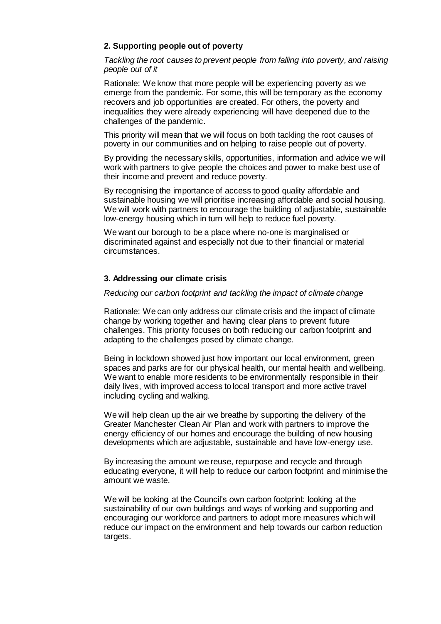#### **2. Supporting people out of poverty**

*Tackling the root causes to prevent people from falling into poverty, and raising people out of it*

Rationale: We know that more people will be experiencing poverty as we emerge from the pandemic. For some, this will be temporary as the economy recovers and job opportunities are created. For others, the poverty and inequalities they were already experiencing will have deepened due to the challenges of the pandemic.

This priority will mean that we will focus on both tackling the root causes of poverty in our communities and on helping to raise people out of poverty.

By providing the necessary skills, opportunities, information and advice we will work with partners to give people the choices and power to make best use of their income and prevent and reduce poverty.

By recognising the importance of access to good quality affordable and sustainable housing we will prioritise increasing affordable and social housing. We will work with partners to encourage the building of adjustable, sustainable low-energy housing which in turn will help to reduce fuel poverty.

We want our borough to be a place where no-one is marginalised or discriminated against and especially not due to their financial or material circumstances.

#### **3. Addressing our climate crisis**

#### *Reducing our carbon footprint and tackling the impact of climate change*

Rationale: We can only address our climate crisis and the impact of climate change by working together and having clear plans to prevent future challenges. This priority focuses on both reducing our carbon footprint and adapting to the challenges posed by climate change.

Being in lockdown showed just how important our local environment, green spaces and parks are for our physical health, our mental health and wellbeing. We want to enable more residents to be environmentally responsible in their daily lives, with improved access to local transport and more active travel including cycling and walking.

We will help clean up the air we breathe by supporting the delivery of the Greater Manchester Clean Air Plan and work with partners to improve the energy efficiency of our homes and encourage the building of new housing developments which are adjustable, sustainable and have low-energy use.

By increasing the amount we reuse, repurpose and recycle and through educating everyone, it will help to reduce our carbon footprint and minimise the amount we waste.

We will be looking at the Council's own carbon footprint: looking at the sustainability of our own buildings and ways of working and supporting and encouraging our workforce and partners to adopt more measures which will reduce our impact on the environment and help towards our carbon reduction targets.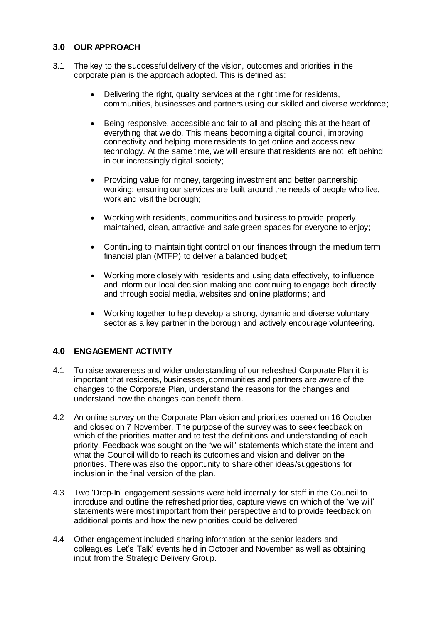## **3.0 OUR APPROACH**

- 3.1 The key to the successful delivery of the vision, outcomes and priorities in the corporate plan is the approach adopted. This is defined as:
	- Delivering the right, quality services at the right time for residents, communities, businesses and partners using our skilled and diverse workforce;
	- Being responsive, accessible and fair to all and placing this at the heart of everything that we do. This means becoming a digital council, improving connectivity and helping more residents to get online and access new technology. At the same time, we will ensure that residents are not left behind in our increasingly digital society;
	- Providing value for money, targeting investment and better partnership working; ensuring our services are built around the needs of people who live, work and visit the borough;
	- Working with residents, communities and business to provide properly maintained, clean, attractive and safe green spaces for everyone to enjoy;
	- Continuing to maintain tight control on our finances through the medium term financial plan (MTFP) to deliver a balanced budget:
	- Working more closely with residents and using data effectively, to influence and inform our local decision making and continuing to engage both directly and through social media, websites and online platforms; and
	- Working together to help develop a strong, dynamic and diverse voluntary sector as a key partner in the borough and actively encourage volunteering.

## **4.0 ENGAGEMENT ACTIVITY**

- 4.1 To raise awareness and wider understanding of our refreshed Corporate Plan it is important that residents, businesses, communities and partners are aware of the changes to the Corporate Plan, understand the reasons for the changes and understand how the changes can benefit them.
- 4.2 An online survey on the Corporate Plan vision and priorities opened on 16 October and closed on 7 November. The purpose of the survey was to seek feedback on which of the priorities matter and to test the definitions and understanding of each priority. Feedback was sought on the 'we will' statements which state the intent and what the Council will do to reach its outcomes and vision and deliver on the priorities. There was also the opportunity to share other ideas/suggestions for inclusion in the final version of the plan.
- 4.3 Two 'Drop-In' engagement sessions were held internally for staff in the Council to introduce and outline the refreshed priorities, capture views on which of the 'we will' statements were most important from their perspective and to provide feedback on additional points and how the new priorities could be delivered.
- 4.4 Other engagement included sharing information at the senior leaders and colleagues 'Let's Talk' events held in October and November as well as obtaining input from the Strategic Delivery Group.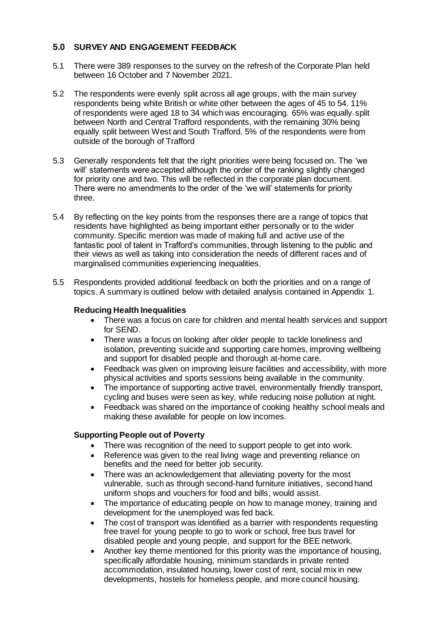## **5.0 SURVEY AND ENGAGEMENT FEEDBACK**

- 5.1 There were 389 responses to the survey on the refresh of the Corporate Plan held between 16 October and 7 November 2021.
- 5.2 The respondents were evenly split across all age groups, with the main survey respondents being white British or white other between the ages of 45 to 54. 11% of respondents were aged 18 to 34 which was encouraging. 65% was equally split between North and Central Trafford respondents, with the remaining 30% being equally split between West and South Trafford. 5% of the respondents were from outside of the borough of Trafford
- 5.3 Generally respondents felt that the right priorities were being focused on. The 'we will' statements were accepted although the order of the ranking slightly changed for priority one and two. This will be reflected in the corporate plan document. There were no amendments to the order of the 'we will' statements for priority three.
- 5.4 By reflecting on the key points from the responses there are a range of topics that residents have highlighted as being important either personally or to the wider community. Specific mention was made of making full and active use of the fantastic pool of talent in Trafford's communities, through listening to the public and their views as well as taking into consideration the needs of different races and of marginalised communities experiencing inequalities.
- 5.5 Respondents provided additional feedback on both the priorities and on a range of topics. A summary is outlined below with detailed analysis contained in Appendix 1.

### **Reducing Health Inequalities**

- There was a focus on care for children and mental health services and support for SEND.
- There was a focus on looking after older people to tackle loneliness and isolation, preventing suicide and supporting care homes, improving wellbeing and support for disabled people and thorough at-home care.
- Feedback was given on improving leisure facilities and accessibility, with more physical activities and sports sessions being available in the community.
- The importance of supporting active travel, environmentally friendly transport, cycling and buses were seen as key, while reducing noise pollution at night.
- Feedback was shared on the importance of cooking healthy school meals and making these available for people on low incomes.

#### **Supporting People out of Poverty**

- There was recognition of the need to support people to get into work.
- Reference was given to the real living wage and preventing reliance on benefits and the need for better job security.
- There was an acknowledgement that alleviating poverty for the most vulnerable, such as through second-hand furniture initiatives, second hand uniform shops and vouchers for food and bills, would assist.
- The importance of educating people on how to manage money, training and development for the unemployed was fed back.
- The cost of transport was identified as a barrier with respondents requesting free travel for young people to go to work or school, free bus travel for disabled people and young people, and support for the BEE network.
- Another key theme mentioned for this priority was the importance of housing, specifically affordable housing, minimum standards in private rented accommodation, insulated housing, lower cost of rent, social mix in new developments, hostels for homeless people, and more council housing.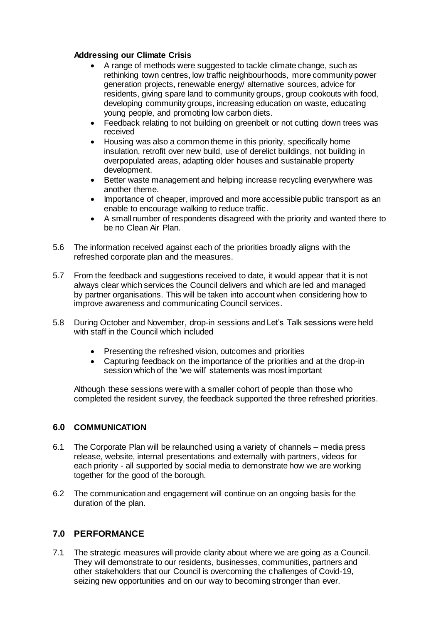#### **Addressing our Climate Crisis**

- A range of methods were suggested to tackle climate change, such as rethinking town centres, low traffic neighbourhoods, more community power generation projects, renewable energy/ alternative sources, advice for residents, giving spare land to community groups, group cookouts with food, developing community groups, increasing education on waste, educating young people, and promoting low carbon diets.
- Feedback relating to not building on greenbelt or not cutting down trees was received
- Housing was also a common theme in this priority, specifically home insulation, retrofit over new build, use of derelict buildings, not building in overpopulated areas, adapting older houses and sustainable property development.
- Better waste management and helping increase recycling everywhere was another theme.
- Importance of cheaper, improved and more accessible public transport as an enable to encourage walking to reduce traffic.
- A small number of respondents disagreed with the priority and wanted there to be no Clean Air Plan.
- 5.6 The information received against each of the priorities broadly aligns with the refreshed corporate plan and the measures.
- 5.7 From the feedback and suggestions received to date, it would appear that it is not always clear which services the Council delivers and which are led and managed by partner organisations. This will be taken into account when considering how to improve awareness and communicating Council services.
- 5.8 During October and November, drop-in sessions and Let's Talk sessions were held with staff in the Council which included
	- Presenting the refreshed vision, outcomes and priorities
	- Capturing feedback on the importance of the priorities and at the drop-in session which of the 'we will' statements was most important

Although these sessions were with a smaller cohort of people than those who completed the resident survey, the feedback supported the three refreshed priorities.

## **6.0 COMMUNICATION**

- 6.1 The Corporate Plan will be relaunched using a variety of channels media press release, website, internal presentations and externally with partners, videos for each priority - all supported by social media to demonstrate how we are working together for the good of the borough.
- 6.2 The communication and engagement will continue on an ongoing basis for the duration of the plan.

## **7.0 PERFORMANCE**

7.1 The strategic measures will provide clarity about where we are going as a Council. They will demonstrate to our residents, businesses, communities, partners and other stakeholders that our Council is overcoming the challenges of Covid-19, seizing new opportunities and on our way to becoming stronger than ever.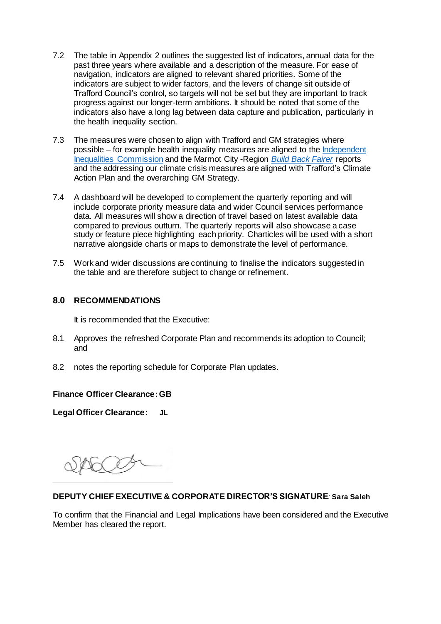- 7.2 The table in Appendix 2 outlines the suggested list of indicators, annual data for the past three years where available and a description of the measure. For ease of navigation, indicators are aligned to relevant shared priorities. Some of the indicators are subject to wider factors, and the levers of change sit outside of Trafford Council's control, so targets will not be set but they are important to track progress against our longer-term ambitions. It should be noted that some of the indicators also have a long lag between data capture and publication, particularly in the health inequality section.
- 7.3 The measures were chosen to align with Trafford and GM strategies where possible – for example health inequality measures are aligned to the [Independent](https://www.greatermanchester-ca.gov.uk/what-we-do/equalities/independent-inequalities-commission/)  [Inequalities Commission](https://www.greatermanchester-ca.gov.uk/what-we-do/equalities/independent-inequalities-commission/) and the Marmot City -Region *[Build Back Fairer](https://www.instituteofhealthequity.org/about-our-work/latest-updates-from-the-institute/greater-manchester-a-marmot-city-region)* reports and the addressing our climate crisis measures are aligned with Trafford's Climate Action Plan and the overarching GM Strategy.
- 7.4 A dashboard will be developed to complement the quarterly reporting and will include corporate priority measure data and wider Council services performance data. All measures will show a direction of travel based on latest available data compared to previous outturn. The quarterly reports will also showcase a case study or feature piece highlighting each priority. Charticles will be used with a short narrative alongside charts or maps to demonstrate the level of performance.
- 7.5 Work and wider discussions are continuing to finalise the indicators suggested in the table and are therefore subject to change or refinement.

#### **8.0 RECOMMENDATIONS**

It is recommended that the Executive:

- 8.1 Approves the refreshed Corporate Plan and recommends its adoption to Council; and
- 8.2 notes the reporting schedule for Corporate Plan updates.

#### **Finance Officer Clearance:GB**

**Legal Officer Clearance: JL**

#### **DEPUTY CHIEF EXECUTIVE & CORPORATE DIRECTOR'S SIGNATURE***:* **Sara Saleh**

To confirm that the Financial and Legal Implications have been considered and the Executive Member has cleared the report.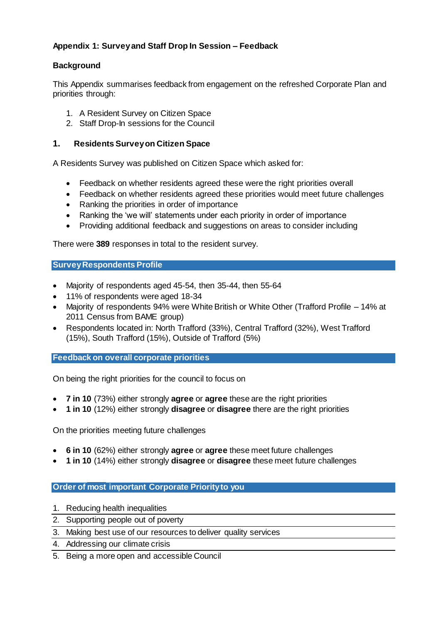## **Appendix 1: Survey and Staff Drop In Session – Feedback**

## **Background**

This Appendix summarises feedback from engagement on the refreshed Corporate Plan and priorities through:

- 1. A Resident Survey on Citizen Space
- 2. Staff Drop-In sessions for the Council

## **1. Residents Survey on Citizen Space**

A Residents Survey was published on Citizen Space which asked for:

- Feedback on whether residents agreed these were the right priorities overall
- Feedback on whether residents agreed these priorities would meet future challenges
- Ranking the priorities in order of importance
- Ranking the 'we will' statements under each priority in order of importance
- Providing additional feedback and suggestions on areas to consider including

There were **389** responses in total to the resident survey.

**Survey Respondents Profile**

- Majority of respondents aged 45-54, then 35-44, then 55-64
- 11% of respondents were aged 18-34
- Majority of respondents 94% were White British or White Other (Trafford Profile 14% at 2011 Census from BAME group)
- Respondents located in: North Trafford (33%), Central Trafford (32%), West Trafford (15%), South Trafford (15%), Outside of Trafford (5%)

**Feedback on overall corporate priorities**

On being the right priorities for the council to focus on

- **7 in 10** (73%) either strongly **agree** or **agree** these are the right priorities
- **1 in 10** (12%) either strongly **disagree** or **disagree** there are the right priorities

On the priorities meeting future challenges

- **6 in 10** (62%) either strongly **agree** or **agree** these meet future challenges
- **1 in 10** (14%) either strongly **disagree** or **disagree** these meet future challenges

#### **Order of most important Corporate Priority to you**

- 1. Reducing health inequalities
- 2. Supporting people out of poverty
- 3. Making best use of our resources to deliver quality services
- 4. Addressing our climate crisis
- 5. Being a more open and accessible Council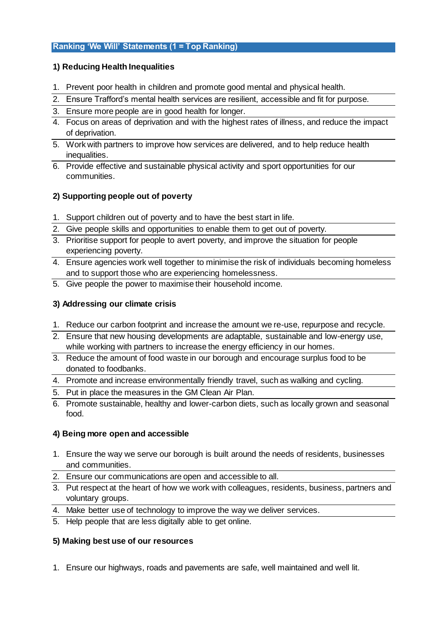## **Ranking 'We Will' Statements (1 = Top Ranking)**

## **1) Reducing Health Inequalities**

- 1. Prevent poor health in children and promote good mental and physical health.
- 2. Ensure Trafford's mental health services are resilient, accessible and fit for purpose.
- 3. Ensure more people are in good health for longer.
- 4. Focus on areas of deprivation and with the highest rates of illness, and reduce the impact of deprivation.
- 5. Work with partners to improve how services are delivered, and to help reduce health inequalities.
- 6. Provide effective and sustainable physical activity and sport opportunities for our communities.

## **2) Supporting people out of poverty**

- 1. Support children out of poverty and to have the best start in life.
- 2. Give people skills and opportunities to enable them to get out of poverty.
- 3. Prioritise support for people to avert poverty, and improve the situation for people experiencing poverty.
- 4. Ensure agencies work well together to minimise the risk of individuals becoming homeless and to support those who are experiencing homelessness.
- 5. Give people the power to maximise their household income.

## **3) Addressing our climate crisis**

- 1. Reduce our carbon footprint and increase the amount we re-use, repurpose and recycle.
- 2. Ensure that new housing developments are adaptable, sustainable and low-energy use, while working with partners to increase the energy efficiency in our homes.
- 3. Reduce the amount of food waste in our borough and encourage surplus food to be donated to foodbanks.
- 4. Promote and increase environmentally friendly travel, such as walking and cycling.
- 5. Put in place the measures in the GM Clean Air Plan.
- 6. Promote sustainable, healthy and lower-carbon diets, such as locally grown and seasonal food.

## **4) Being more open and accessible**

- 1. Ensure the way we serve our borough is built around the needs of residents, businesses and communities.
- 2. Ensure our communications are open and accessible to all.
- 3. Put respect at the heart of how we work with colleagues, residents, business, partners and voluntary groups.
- 4. Make better use of technology to improve the way we deliver services.
- 5. Help people that are less digitally able to get online.

## **5) Making best use of our resources**

1. Ensure our highways, roads and pavements are safe, well maintained and well lit.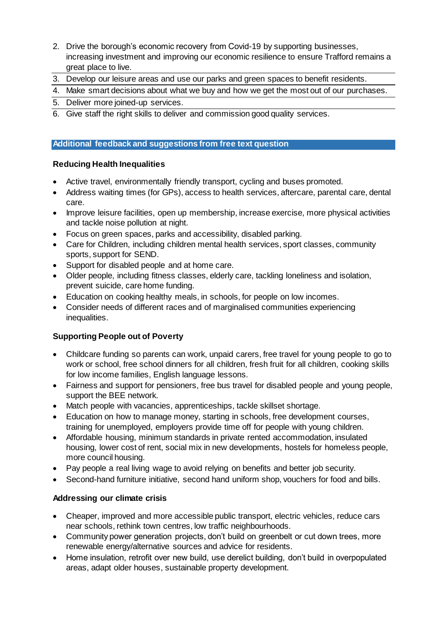- 2. Drive the borough's economic recovery from Covid-19 by supporting businesses, increasing investment and improving our economic resilience to ensure Trafford remains a great place to live.
- 3. Develop our leisure areas and use our parks and green spaces to benefit residents.
- 4. Make smart decisions about what we buy and how we get the most out of our purchases.
- 5. Deliver more joined-up services.
- 6. Give staff the right skills to deliver and commission good quality services.

## **Additional feedback and suggestions from free text question**

#### **Reducing Health Inequalities**

- Active travel, environmentally friendly transport, cycling and buses promoted.
- Address waiting times (for GPs), access to health services, aftercare, parental care, dental care.
- Improve leisure facilities, open up membership, increase exercise, more physical activities and tackle noise pollution at night.
- Focus on green spaces, parks and accessibility, disabled parking.
- Care for Children, including children mental health services, sport classes, community sports, support for SEND.
- Support for disabled people and at home care.
- Older people, including fitness classes, elderly care, tackling loneliness and isolation, prevent suicide, care home funding.
- Education on cooking healthy meals, in schools, for people on low incomes.
- Consider needs of different races and of marginalised communities experiencing inequalities.

## **Supporting People out of Poverty**

- Childcare funding so parents can work, unpaid carers, free travel for young people to go to work or school, free school dinners for all children, fresh fruit for all children, cooking skills for low income families, English language lessons.
- Fairness and support for pensioners, free bus travel for disabled people and young people, support the BEE network.
- Match people with vacancies, apprenticeships, tackle skillset shortage.
- Education on how to manage money, starting in schools, free development courses, training for unemployed, employers provide time off for people with young children.
- Affordable housing, minimum standards in private rented accommodation, insulated housing, lower cost of rent, social mix in new developments, hostels for homeless people, more council housing.
- Pay people a real living wage to avoid relying on benefits and better job security.
- Second-hand furniture initiative, second hand uniform shop, vouchers for food and bills.

## **Addressing our climate crisis**

- Cheaper, improved and more accessible public transport, electric vehicles, reduce cars near schools, rethink town centres, low traffic neighbourhoods.
- Community power generation projects, don't build on greenbelt or cut down trees, more renewable energy/alternative sources and advice for residents.
- Home insulation, retrofit over new build, use derelict building, don't build in overpopulated areas, adapt older houses, sustainable property development.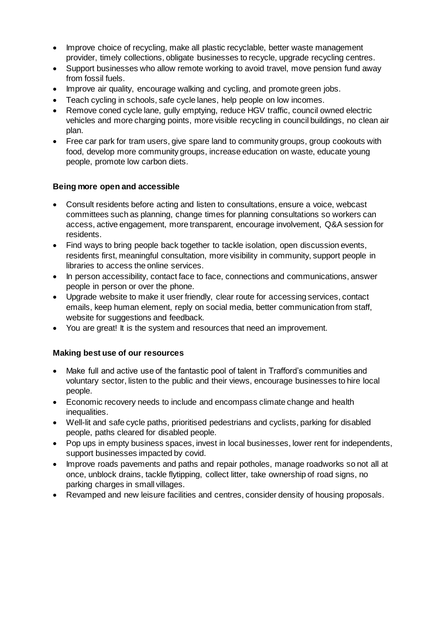- Improve choice of recycling, make all plastic recyclable, better waste management provider, timely collections, obligate businesses to recycle, upgrade recycling centres.
- Support businesses who allow remote working to avoid travel, move pension fund away from fossil fuels.
- Improve air quality, encourage walking and cycling, and promote green jobs.
- Teach cycling in schools, safe cycle lanes, help people on low incomes.
- Remove coned cycle lane, gully emptying, reduce HGV traffic, council owned electric vehicles and more charging points, more visible recycling in council buildings, no clean air plan.
- Free car park for tram users, give spare land to community groups, group cookouts with food, develop more community groups, increase education on waste, educate young people, promote low carbon diets.

#### **Being more open and accessible**

- Consult residents before acting and listen to consultations, ensure a voice, webcast committees such as planning, change times for planning consultations so workers can access, active engagement, more transparent, encourage involvement, Q&A session for residents.
- Find ways to bring people back together to tackle isolation, open discussion events, residents first, meaningful consultation, more visibility in community, support people in libraries to access the online services.
- In person accessibility, contact face to face, connections and communications, answer people in person or over the phone.
- Upgrade website to make it user friendly, clear route for accessing services, contact emails, keep human element, reply on social media, better communication from staff, website for suggestions and feedback.
- You are great! It is the system and resources that need an improvement.

#### **Making best use of our resources**

- Make full and active use of the fantastic pool of talent in Trafford's communities and voluntary sector, listen to the public and their views, encourage businesses to hire local people.
- Economic recovery needs to include and encompass climate change and health inequalities.
- Well-lit and safe cycle paths, prioritised pedestrians and cyclists, parking for disabled people, paths cleared for disabled people.
- Pop ups in empty business spaces, invest in local businesses, lower rent for independents, support businesses impacted by covid.
- Improve roads pavements and paths and repair potholes, manage roadworks so not all at once, unblock drains, tackle flytipping, collect litter, take ownership of road signs, no parking charges in small villages.
- Revamped and new leisure facilities and centres, consider density of housing proposals.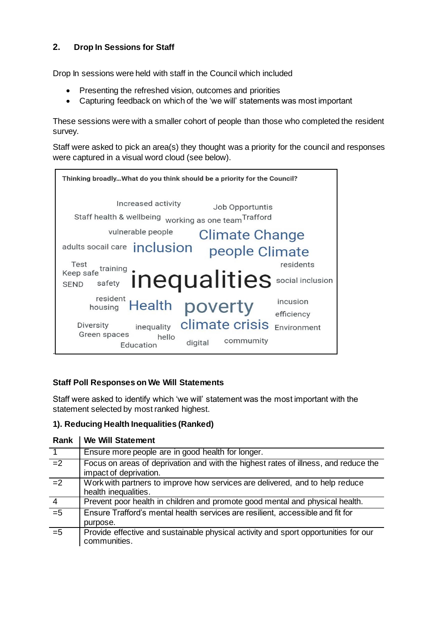## **2. Drop In Sessions for Staff**

Drop In sessions were held with staff in the Council which included

- Presenting the refreshed vision, outcomes and priorities
- Capturing feedback on which of the 'we will' statements was most important

These sessions were with a smaller cohort of people than those who completed the resident survey.

Staff were asked to pick an area(s) they thought was a priority for the council and responses were captured in a visual word cloud (see below).



## **Staff Poll Responses on We Will Statements**

Staff were asked to identify which 'we will' statement was the most important with the statement selected by most ranked highest.

## **1). Reducing Health Inequalities (Ranked)**

| Rank            | <b>We Will Statement</b>                                                                                      |
|-----------------|---------------------------------------------------------------------------------------------------------------|
| $\overline{1}$  | Ensure more people are in good health for longer.                                                             |
| $\overline{=}$  | Focus on areas of deprivation and with the highest rates of illness, and reduce the<br>impact of deprivation. |
| $\overline{-2}$ | Work with partners to improve how services are delivered, and to help reduce<br>health inequalities.          |
| $\overline{4}$  | Prevent poor health in children and promote good mental and physical health.                                  |
| $\overline{=5}$ | Ensure Trafford's mental health services are resilient, accessible and fit for<br>purpose.                    |
| $=5$            | Provide effective and sustainable physical activity and sport opportunities for our<br>communities.           |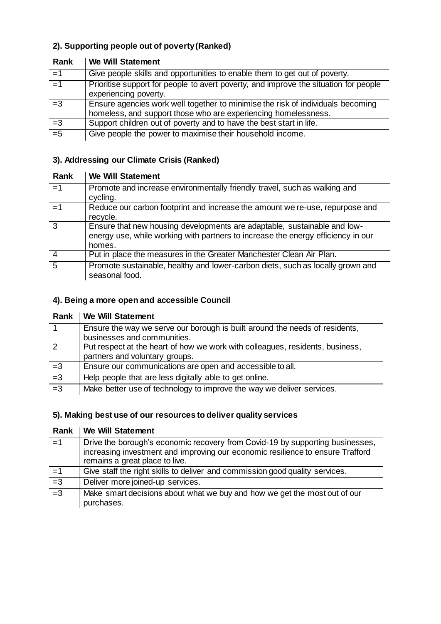## **2). Supporting people out of poverty (Ranked)**

| Rank  | <b><i>vve vvill Statement</i></b>                                                                                                                 |
|-------|---------------------------------------------------------------------------------------------------------------------------------------------------|
| $=1$  | Give people skills and opportunities to enable them to get out of poverty.                                                                        |
| $=1$  | Prioritise support for people to avert poverty, and improve the situation for people<br>experiencing poverty.                                     |
| $=3$  | Ensure agencies work well together to minimise the risk of individuals becoming<br>homeless, and support those who are experiencing homelessness. |
| $=3$  | Support children out of poverty and to have the best start in life.                                                                               |
| $= 5$ | Give people the power to maximise their household income.                                                                                         |

## **Rank We Will Statement**

## **3). Addressing our Climate Crisis (Ranked)**

| Rank           | <b>We Will Statement</b>                                                                                                                                               |
|----------------|------------------------------------------------------------------------------------------------------------------------------------------------------------------------|
| $=1$           | Promote and increase environmentally friendly travel, such as walking and<br>cycling.                                                                                  |
| $=1$           | Reduce our carbon footprint and increase the amount we re-use, repurpose and<br>recycle.                                                                               |
| $\overline{3}$ | Ensure that new housing developments are adaptable, sustainable and low-<br>energy use, while working with partners to increase the energy efficiency in our<br>homes. |
|                | Put in place the measures in the Greater Manchester Clean Air Plan.                                                                                                    |
| $\overline{5}$ | Promote sustainable, healthy and lower-carbon diets, such as locally grown and<br>seasonal food.                                                                       |

## **4). Being a more open and accessible Council**

|      | Rank   We Will Statement                                                      |
|------|-------------------------------------------------------------------------------|
| 1    | Ensure the way we serve our borough is built around the needs of residents,   |
|      | businesses and communities.                                                   |
| 2    | Put respect at the heart of how we work with colleagues, residents, business, |
|      | partners and voluntary groups.                                                |
| $=3$ | Ensure our communications are open and accessible to all.                     |
| $=3$ | Help people that are less digitally able to get online.                       |
| $=3$ | Make better use of technology to improve the way we deliver services.         |

## **5). Making best use of our resources to deliver quality services**

|                 | Rank   We Will Statement                                                                                                                                                                          |
|-----------------|---------------------------------------------------------------------------------------------------------------------------------------------------------------------------------------------------|
| $=1$            | Drive the borough's economic recovery from Covid-19 by supporting businesses,<br>increasing investment and improving our economic resilience to ensure Trafford<br>remains a great place to live. |
| $=1$            | Give staff the right skills to deliver and commission good quality services.                                                                                                                      |
| $\overline{-3}$ | Deliver more joined-up services.                                                                                                                                                                  |
| $\overline{-3}$ | Make smart decisions about what we buy and how we get the most out of our<br>purchases.                                                                                                           |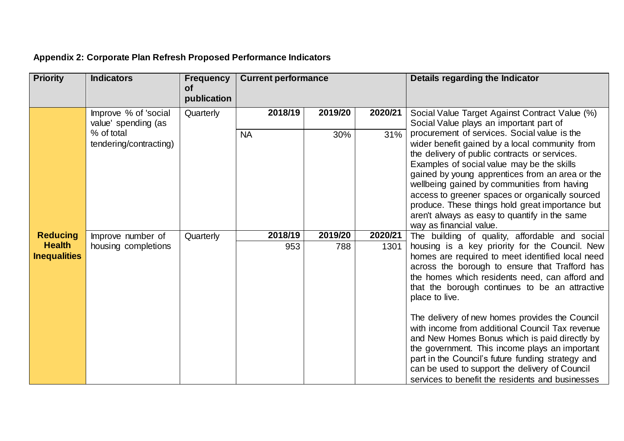| <b>Priority</b>                                         | <b>Indicators</b>                           | <b>Frequency</b><br><b>of</b><br>publication | <b>Current performance</b> |                |                 | Details regarding the Indicator                                                                                                                                                                                                                                                                                                                                                                                                                                                                                                                                                                                                                                                                 |
|---------------------------------------------------------|---------------------------------------------|----------------------------------------------|----------------------------|----------------|-----------------|-------------------------------------------------------------------------------------------------------------------------------------------------------------------------------------------------------------------------------------------------------------------------------------------------------------------------------------------------------------------------------------------------------------------------------------------------------------------------------------------------------------------------------------------------------------------------------------------------------------------------------------------------------------------------------------------------|
|                                                         | Improve % of 'social<br>value' spending (as | Quarterly                                    | 2018/19                    | 2019/20        | 2020/21         | Social Value Target Against Contract Value (%)<br>Social Value plays an important part of                                                                                                                                                                                                                                                                                                                                                                                                                                                                                                                                                                                                       |
|                                                         | % of total<br>tendering/contracting)        |                                              | <b>NA</b>                  | 30%            | 31%             | procurement of services. Social value is the<br>wider benefit gained by a local community from<br>the delivery of public contracts or services.<br>Examples of social value may be the skills<br>gained by young apprentices from an area or the<br>wellbeing gained by communities from having<br>access to greener spaces or organically sourced<br>produce. These things hold great importance but<br>aren't always as easy to quantify in the same<br>way as financial value.                                                                                                                                                                                                               |
| <b>Reducing</b><br><b>Health</b><br><b>Inequalities</b> | Improve number of<br>housing completions    | Quarterly                                    | 2018/19<br>953             | 2019/20<br>788 | 2020/21<br>1301 | The building of quality, affordable and social<br>housing is a key priority for the Council. New<br>homes are required to meet identified local need<br>across the borough to ensure that Trafford has<br>the homes which residents need, can afford and<br>that the borough continues to be an attractive<br>place to live.<br>The delivery of new homes provides the Council<br>with income from additional Council Tax revenue<br>and New Homes Bonus which is paid directly by<br>the government. This income plays an important<br>part in the Council's future funding strategy and<br>can be used to support the delivery of Council<br>services to benefit the residents and businesses |

# **Appendix 2: Corporate Plan Refresh Proposed Performance Indicators**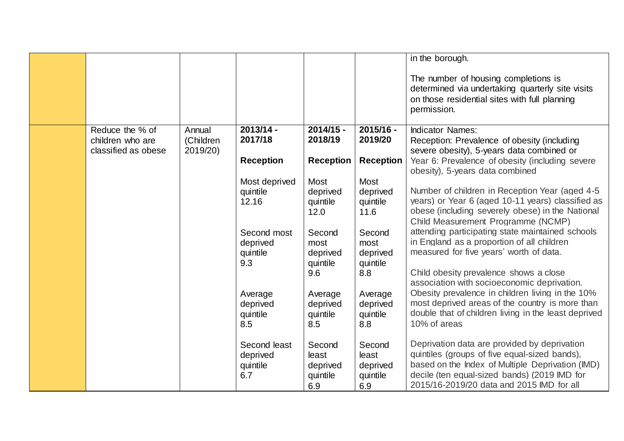|                                         |                       |                   |                      |                      | in the borough.                                                                                                                                          |
|-----------------------------------------|-----------------------|-------------------|----------------------|----------------------|----------------------------------------------------------------------------------------------------------------------------------------------------------|
|                                         |                       |                   |                      |                      | The number of housing completions is<br>determined via undertaking quarterly site visits<br>on those residential sites with full planning<br>permission. |
| Reduce the % of                         | Annual                | $2013/14 -$       | $2014/15 -$          | 2015/16 -            | <b>Indicator Names:</b>                                                                                                                                  |
| children who are<br>classified as obese | (Children<br>2019/20) | 2017/18           | 2018/19              | 2019/20              | Reception: Prevalence of obesity (including                                                                                                              |
|                                         |                       | <b>Reception</b>  | <b>Reception</b>     | <b>Reception</b>     | severe obesity), 5-years data combined or<br>Year 6: Prevalence of obesity (including severe<br>obesity), 5-years data combined                          |
|                                         |                       | Most deprived     | <b>Most</b>          | Most                 |                                                                                                                                                          |
|                                         |                       | quintile<br>12.16 | deprived             | deprived             | Number of children in Reception Year (aged 4-5)<br>years) or Year 6 (aged 10-11 years) classified as                                                     |
|                                         |                       |                   | quintile<br>12.0     | quintile<br>11.6     | obese (including severely obese) in the National<br>Child Measurement Programme (NCMP)                                                                   |
|                                         |                       | Second most       | Second               | Second               | attending participating state maintained schools                                                                                                         |
|                                         |                       | deprived          | most                 | most                 | in England as a proportion of all children                                                                                                               |
|                                         |                       | quintile<br>9.3   | deprived<br>quintile | deprived<br>quintile | measured for five years' worth of data.                                                                                                                  |
|                                         |                       |                   | 9.6                  | 8.8                  | Child obesity prevalence shows a close<br>association with socioeconomic deprivation.                                                                    |
|                                         |                       | Average           | Average              | Average              | Obesity prevalence in children living in the 10%                                                                                                         |
|                                         |                       | deprived          | deprived             | deprived             | most deprived areas of the country is more than                                                                                                          |
|                                         |                       | quintile<br>8.5   | quintile<br>8.5      | quintile<br>8.8      | double that of children living in the least deprived<br>10% of areas                                                                                     |
|                                         |                       |                   |                      |                      |                                                                                                                                                          |
|                                         |                       | Second least      | Second               | Second               | Deprivation data are provided by deprivation                                                                                                             |
|                                         |                       | deprived          | least                | least                | quintiles (groups of five equal-sized bands),                                                                                                            |
|                                         |                       | quintile<br>6.7   | deprived<br>quintile | deprived<br>quintile | based on the Index of Multiple Deprivation (IMD)<br>decile (ten equal-sized bands) (2019 IMD for                                                         |
|                                         |                       |                   | 6.9                  | 6.9                  | 2015/16-2019/20 data and 2015 IMD for all                                                                                                                |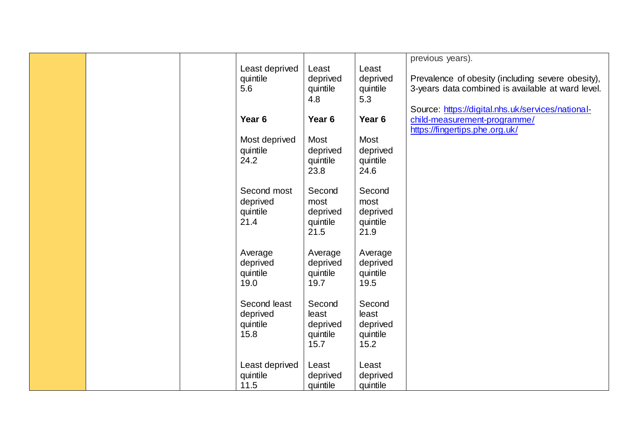|  |                   |          |                   | previous years).                                  |
|--|-------------------|----------|-------------------|---------------------------------------------------|
|  | Least deprived    | Least    | Least             |                                                   |
|  |                   |          |                   |                                                   |
|  | quintile          | deprived | deprived          | Prevalence of obesity (including severe obesity), |
|  | 5.6               | quintile | quintile          | 3-years data combined is available at ward level. |
|  |                   | 4.8      | 5.3               |                                                   |
|  |                   |          |                   | Source: https://digital.nhs.uk/services/national- |
|  | Year <sub>6</sub> | Year 6   | Year <sub>6</sub> | child-measurement-programme/                      |
|  |                   |          |                   | https://fingertips.phe.org.uk/                    |
|  | Most deprived     | Most     | Most              |                                                   |
|  | quintile          | deprived | deprived          |                                                   |
|  | 24.2              |          |                   |                                                   |
|  |                   | quintile | quintile          |                                                   |
|  |                   | 23.8     | 24.6              |                                                   |
|  |                   |          |                   |                                                   |
|  | Second most       | Second   | Second            |                                                   |
|  | deprived          | most     | most              |                                                   |
|  | quintile          | deprived | deprived          |                                                   |
|  | 21.4              | quintile | quintile          |                                                   |
|  |                   | 21.5     | 21.9              |                                                   |
|  |                   |          |                   |                                                   |
|  | Average           | Average  | Average           |                                                   |
|  | deprived          | deprived | deprived          |                                                   |
|  | quintile          | quintile | quintile          |                                                   |
|  | 19.0              | 19.7     | 19.5              |                                                   |
|  |                   |          |                   |                                                   |
|  | Second least      | Second   | Second            |                                                   |
|  | deprived          | least    | least             |                                                   |
|  |                   |          |                   |                                                   |
|  | quintile          | deprived | deprived          |                                                   |
|  | 15.8              | quintile | quintile          |                                                   |
|  |                   | 15.7     | 15.2              |                                                   |
|  |                   |          |                   |                                                   |
|  | Least deprived    | Least    | Least             |                                                   |
|  | quintile          | deprived | deprived          |                                                   |
|  | 11.5              | quintile | quintile          |                                                   |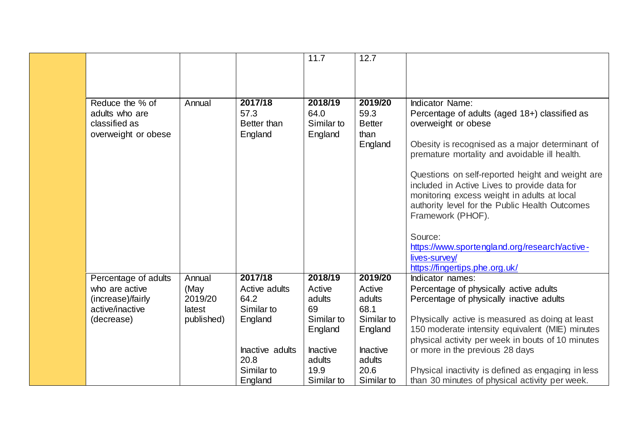|                                      |            |                        | 11.7                  | 12.7                  |                                                                                               |
|--------------------------------------|------------|------------------------|-----------------------|-----------------------|-----------------------------------------------------------------------------------------------|
|                                      |            |                        |                       |                       |                                                                                               |
|                                      |            |                        |                       |                       |                                                                                               |
|                                      |            |                        |                       |                       |                                                                                               |
| Reduce the % of                      | Annual     | 2017/18                | 2018/19               | 2019/20               | <b>Indicator Name:</b>                                                                        |
| adults who are                       |            | 57.3                   | 64.0                  | 59.3                  | Percentage of adults (aged 18+) classified as                                                 |
| classified as<br>overweight or obese |            | Better than<br>England | Similar to<br>England | <b>Better</b><br>than | overweight or obese                                                                           |
|                                      |            |                        |                       | England               | Obesity is recognised as a major determinant of                                               |
|                                      |            |                        |                       |                       | premature mortality and avoidable ill health.                                                 |
|                                      |            |                        |                       |                       | Questions on self-reported height and weight are                                              |
|                                      |            |                        |                       |                       | included in Active Lives to provide data for                                                  |
|                                      |            |                        |                       |                       | monitoring excess weight in adults at local<br>authority level for the Public Health Outcomes |
|                                      |            |                        |                       |                       | Framework (PHOF).                                                                             |
|                                      |            |                        |                       |                       |                                                                                               |
|                                      |            |                        |                       |                       | Source:                                                                                       |
|                                      |            |                        |                       |                       | https://www.sportengland.org/research/active-                                                 |
|                                      |            |                        |                       |                       | lives-survey/                                                                                 |
|                                      |            |                        |                       |                       | https://fingertips.phe.org.uk/                                                                |
| Percentage of adults                 | Annual     | 2017/18                | 2018/19               | 2019/20               | Indicator names:                                                                              |
| who are active                       | (May       | Active adults          | Active                | Active                | Percentage of physically active adults                                                        |
| (increase)/fairly                    | 2019/20    | 64.2                   | adults                | adults                | Percentage of physically inactive adults                                                      |
| active/inactive                      | latest     | Similar to             | 69                    | 68.1                  |                                                                                               |
| (decrease)                           | published) | England                | Similar to            | Similar to            | Physically active is measured as doing at least                                               |
|                                      |            |                        | England               | England               | 150 moderate intensity equivalent (MIE) minutes                                               |
|                                      |            |                        |                       |                       | physical activity per week in bouts of 10 minutes                                             |
|                                      |            | Inactive adults        | Inactive              | <b>Inactive</b>       | or more in the previous 28 days                                                               |
|                                      |            | 20.8                   | adults                | adults                |                                                                                               |
|                                      |            | Similar to             | 19.9                  | 20.6                  | Physical inactivity is defined as engaging in less                                            |
|                                      |            | England                | Similar to            | Similar to            | than 30 minutes of physical activity per week.                                                |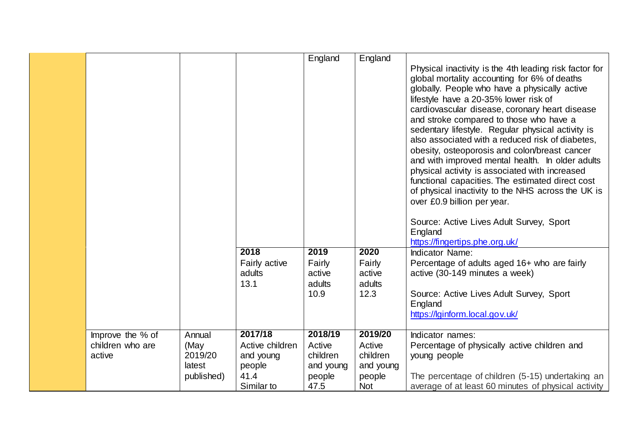|                  |            |                 | England   | England    |                                                                                                        |
|------------------|------------|-----------------|-----------|------------|--------------------------------------------------------------------------------------------------------|
|                  |            |                 |           |            | Physical inactivity is the 4th leading risk factor for                                                 |
|                  |            |                 |           |            | global mortality accounting for 6% of deaths                                                           |
|                  |            |                 |           |            | globally. People who have a physically active                                                          |
|                  |            |                 |           |            | lifestyle have a 20-35% lower risk of                                                                  |
|                  |            |                 |           |            | cardiovascular disease, coronary heart disease                                                         |
|                  |            |                 |           |            | and stroke compared to those who have a                                                                |
|                  |            |                 |           |            | sedentary lifestyle. Regular physical activity is                                                      |
|                  |            |                 |           |            | also associated with a reduced risk of diabetes,                                                       |
|                  |            |                 |           |            | obesity, osteoporosis and colon/breast cancer                                                          |
|                  |            |                 |           |            | and with improved mental health. In older adults                                                       |
|                  |            |                 |           |            | physical activity is associated with increased                                                         |
|                  |            |                 |           |            | functional capacities. The estimated direct cost<br>of physical inactivity to the NHS across the UK is |
|                  |            |                 |           |            | over £0.9 billion per year.                                                                            |
|                  |            |                 |           |            |                                                                                                        |
|                  |            |                 |           |            | Source: Active Lives Adult Survey, Sport                                                               |
|                  |            |                 |           |            | England                                                                                                |
|                  |            |                 |           |            | https://fingertips.phe.org.uk/                                                                         |
|                  |            | 2018            | 2019      | 2020       | Indicator Name:                                                                                        |
|                  |            | Fairly active   | Fairly    | Fairly     | Percentage of adults aged 16+ who are fairly                                                           |
|                  |            | adults          | active    | active     | active (30-149 minutes a week)                                                                         |
|                  |            | 13.1            | adults    | adults     |                                                                                                        |
|                  |            |                 | 10.9      | 12.3       | Source: Active Lives Adult Survey, Sport                                                               |
|                  |            |                 |           |            | England                                                                                                |
|                  |            |                 |           |            | https://lginform.local.gov.uk/                                                                         |
| Improve the % of | Annual     | 2017/18         | 2018/19   | 2019/20    | Indicator names:                                                                                       |
| children who are | (May       | Active children | Active    | Active     | Percentage of physically active children and                                                           |
| active           | 2019/20    | and young       | children  | children   | young people                                                                                           |
|                  | latest     | people          | and young | and young  |                                                                                                        |
|                  | published) | 41.4            | people    | people     | The percentage of children (5-15) undertaking an                                                       |
|                  |            | Similar to      | 47.5      | <b>Not</b> | average of at least 60 minutes of physical activity                                                    |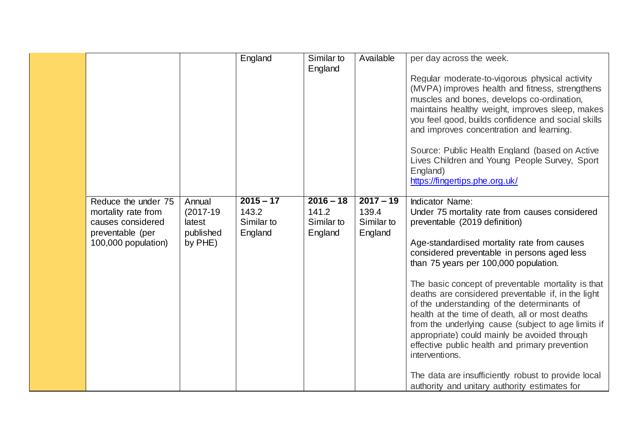|                                                                                                            |                                                         | England                                       | Similar to                                    | Available                                     | per day across the week.                                                                                                                                                                                                                                                                                                                                                                                                                                                                                                                                                                                                                                                                                                                          |
|------------------------------------------------------------------------------------------------------------|---------------------------------------------------------|-----------------------------------------------|-----------------------------------------------|-----------------------------------------------|---------------------------------------------------------------------------------------------------------------------------------------------------------------------------------------------------------------------------------------------------------------------------------------------------------------------------------------------------------------------------------------------------------------------------------------------------------------------------------------------------------------------------------------------------------------------------------------------------------------------------------------------------------------------------------------------------------------------------------------------------|
|                                                                                                            |                                                         |                                               | England                                       |                                               | Regular moderate-to-vigorous physical activity<br>(MVPA) improves health and fitness, strengthens<br>muscles and bones, develops co-ordination,<br>maintains healthy weight, improves sleep, makes<br>you feel good, builds confidence and social skills<br>and improves concentration and learning.<br>Source: Public Health England (based on Active<br>Lives Children and Young People Survey, Sport<br>England)<br>https://fingertips.phe.org.uk/                                                                                                                                                                                                                                                                                             |
| Reduce the under 75<br>mortality rate from<br>causes considered<br>preventable (per<br>100,000 population) | Annual<br>$(2017-19)$<br>latest<br>published<br>by PHE) | $2015 - 17$<br>143.2<br>Similar to<br>England | $2016 - 18$<br>141.2<br>Similar to<br>England | $2017 - 19$<br>139.4<br>Similar to<br>England | <b>Indicator Name:</b><br>Under 75 mortality rate from causes considered<br>preventable (2019 definition)<br>Age-standardised mortality rate from causes<br>considered preventable in persons aged less<br>than 75 years per 100,000 population.<br>The basic concept of preventable mortality is that<br>deaths are considered preventable if, in the light<br>of the understanding of the determinants of<br>health at the time of death, all or most deaths<br>from the underlying cause (subject to age limits if<br>appropriate) could mainly be avoided through<br>effective public health and primary prevention<br>interventions.<br>The data are insufficiently robust to provide local<br>authority and unitary authority estimates for |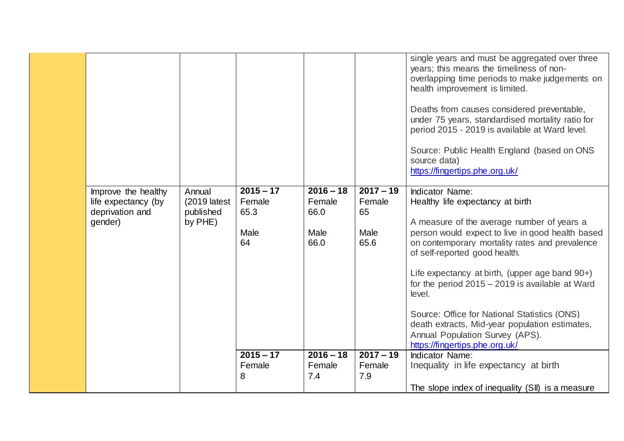|                                                                          |                                                  |                                             |                                               |                                             | single years and must be aggregated over three<br>years; this means the timeliness of non-<br>overlapping time periods to make judgements on<br>health improvement is limited.<br>Deaths from causes considered preventable,<br>under 75 years, standardised mortality ratio for<br>period 2015 - 2019 is available at Ward level.<br>Source: Public Health England (based on ONS<br>source data)<br>https://fingertips.phe.org.uk/                                                                                                     |
|--------------------------------------------------------------------------|--------------------------------------------------|---------------------------------------------|-----------------------------------------------|---------------------------------------------|-----------------------------------------------------------------------------------------------------------------------------------------------------------------------------------------------------------------------------------------------------------------------------------------------------------------------------------------------------------------------------------------------------------------------------------------------------------------------------------------------------------------------------------------|
| Improve the healthy<br>life expectancy (by<br>deprivation and<br>gender) | Annual<br>$(2019$ latest<br>published<br>by PHE) | $2015 - 17$<br>Female<br>65.3<br>Male<br>64 | $2016 - 18$<br>Female<br>66.0<br>Male<br>66.0 | $2017 - 19$<br>Female<br>65<br>Male<br>65.6 | <b>Indicator Name:</b><br>Healthy life expectancy at birth<br>A measure of the average number of years a<br>person would expect to live in good health based<br>on contemporary mortality rates and prevalence<br>of self-reported good health.<br>Life expectancy at birth, (upper age band 90+)<br>for the period $2015 - 2019$ is available at Ward<br>level.<br>Source: Office for National Statistics (ONS)<br>death extracts, Mid-year population estimates,<br>Annual Population Survey (APS).<br>https://fingertips.phe.org.uk/ |
|                                                                          |                                                  | $2015 - 17$<br>Female<br>8                  | $2016 - 18$<br>Female<br>7.4                  | $2017 - 19$<br>Female<br>7.9                | <b>Indicator Name:</b><br>Inequality in life expectancy at birth<br>The slope index of inequality (SII) is a measure                                                                                                                                                                                                                                                                                                                                                                                                                    |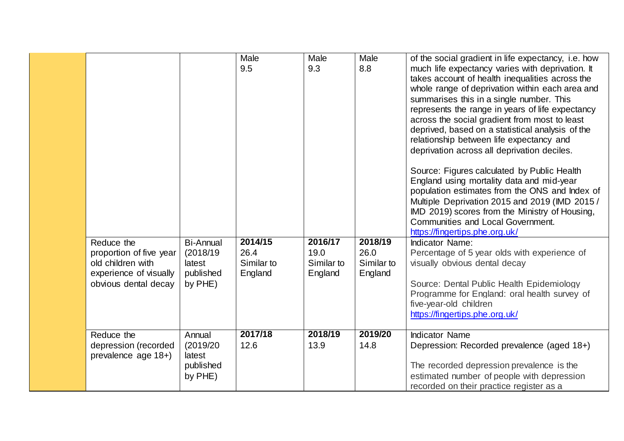| Reduce the<br>proportion of five year<br>old children with<br>experience of visually<br>obvious dental decay | <b>Bi-Annual</b><br>(2018/19)<br>latest<br>published<br>by PHE) | Male<br>9.5<br>2014/15<br>26.4<br>Similar to<br>England | Male<br>9.3<br>2016/17<br>19.0<br>Similar to<br>England | Male<br>8.8<br>2018/19<br>26.0<br>Similar to<br>England | of the social gradient in life expectancy, i.e. how<br>much life expectancy varies with deprivation. It<br>takes account of health inequalities across the<br>whole range of deprivation within each area and<br>summarises this in a single number. This<br>represents the range in years of life expectancy<br>across the social gradient from most to least<br>deprived, based on a statistical analysis of the<br>relationship between life expectancy and<br>deprivation across all deprivation deciles.<br>Source: Figures calculated by Public Health<br>England using mortality data and mid-year<br>population estimates from the ONS and Index of<br>Multiple Deprivation 2015 and 2019 (IMD 2015 /<br>IMD 2019) scores from the Ministry of Housing,<br><b>Communities and Local Government.</b><br>https://fingertips.phe.org.uk/<br><b>Indicator Name:</b><br>Percentage of 5 year olds with experience of<br>visually obvious dental decay<br>Source: Dental Public Health Epidemiology<br>Programme for England: oral health survey of<br>five-year-old children |
|--------------------------------------------------------------------------------------------------------------|-----------------------------------------------------------------|---------------------------------------------------------|---------------------------------------------------------|---------------------------------------------------------|---------------------------------------------------------------------------------------------------------------------------------------------------------------------------------------------------------------------------------------------------------------------------------------------------------------------------------------------------------------------------------------------------------------------------------------------------------------------------------------------------------------------------------------------------------------------------------------------------------------------------------------------------------------------------------------------------------------------------------------------------------------------------------------------------------------------------------------------------------------------------------------------------------------------------------------------------------------------------------------------------------------------------------------------------------------------------------|
|                                                                                                              |                                                                 |                                                         |                                                         |                                                         | https://fingertips.phe.org.uk/                                                                                                                                                                                                                                                                                                                                                                                                                                                                                                                                                                                                                                                                                                                                                                                                                                                                                                                                                                                                                                                  |
| Reduce the<br>depression (recorded<br>prevalence age 18+)                                                    | Annual<br>(2019/20)<br>latest<br>published<br>by PHE)           | 2017/18<br>12.6                                         | 2018/19<br>13.9                                         | 2019/20<br>14.8                                         | <b>Indicator Name</b><br>Depression: Recorded prevalence (aged 18+)<br>The recorded depression prevalence is the<br>estimated number of people with depression<br>recorded on their practice register as a                                                                                                                                                                                                                                                                                                                                                                                                                                                                                                                                                                                                                                                                                                                                                                                                                                                                      |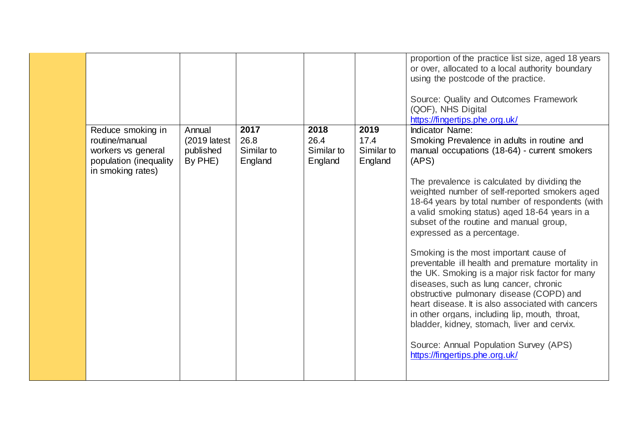|                                             |                |            |            |            | proportion of the practice list size, aged 18 years |
|---------------------------------------------|----------------|------------|------------|------------|-----------------------------------------------------|
|                                             |                |            |            |            | or over, allocated to a local authority boundary    |
|                                             |                |            |            |            | using the postcode of the practice.                 |
|                                             |                |            |            |            |                                                     |
|                                             |                |            |            |            | Source: Quality and Outcomes Framework              |
|                                             |                |            |            |            | (QOF), NHS Digital                                  |
|                                             |                |            |            |            | https://fingertips.phe.org.uk/                      |
|                                             | Annual         | 2017       | 2018       | 2019       | <b>Indicator Name:</b>                              |
| Reduce smoking in<br>routine/manual         |                | 26.8       | 26.4       | 17.4       |                                                     |
|                                             | $(2019$ latest |            |            |            | Smoking Prevalence in adults in routine and         |
| workers vs general                          | published      | Similar to | Similar to | Similar to | manual occupations (18-64) - current smokers        |
| population (inequality<br>in smoking rates) | By PHE)        | England    | England    | England    | (APS)                                               |
|                                             |                |            |            |            | The prevalence is calculated by dividing the        |
|                                             |                |            |            |            | weighted number of self-reported smokers aged       |
|                                             |                |            |            |            | 18-64 years by total number of respondents (with    |
|                                             |                |            |            |            | a valid smoking status) aged 18-64 years in a       |
|                                             |                |            |            |            | subset of the routine and manual group,             |
|                                             |                |            |            |            | expressed as a percentage.                          |
|                                             |                |            |            |            |                                                     |
|                                             |                |            |            |            | Smoking is the most important cause of              |
|                                             |                |            |            |            | preventable ill health and premature mortality in   |
|                                             |                |            |            |            | the UK. Smoking is a major risk factor for many     |
|                                             |                |            |            |            | diseases, such as lung cancer, chronic              |
|                                             |                |            |            |            | obstructive pulmonary disease (COPD) and            |
|                                             |                |            |            |            |                                                     |
|                                             |                |            |            |            | heart disease. It is also associated with cancers   |
|                                             |                |            |            |            | in other organs, including lip, mouth, throat,      |
|                                             |                |            |            |            | bladder, kidney, stomach, liver and cervix.         |
|                                             |                |            |            |            | Source: Annual Population Survey (APS)              |
|                                             |                |            |            |            | https://fingertips.phe.org.uk/                      |
|                                             |                |            |            |            |                                                     |
|                                             |                |            |            |            |                                                     |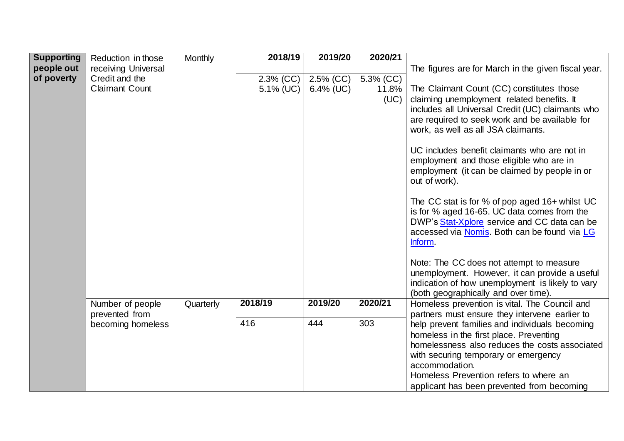| <b>Supporting</b> | Reduction in those    | <b>Monthly</b> | 2018/19      | 2019/20      | 2020/21   |                                                                                       |
|-------------------|-----------------------|----------------|--------------|--------------|-----------|---------------------------------------------------------------------------------------|
|                   |                       |                |              |              |           |                                                                                       |
| people out        | receiving Universal   |                |              |              |           | The figures are for March in the given fiscal year.                                   |
| of poverty        | Credit and the        |                | $2.3\%$ (CC) | $2.5\%$ (CC) | 5.3% (CC) |                                                                                       |
|                   | <b>Claimant Count</b> |                | 5.1% (UC)    | $6.4\%$ (UC) | 11.8%     | The Claimant Count (CC) constitutes those                                             |
|                   |                       |                |              |              | (UC)      | claiming unemployment related benefits. It                                            |
|                   |                       |                |              |              |           | includes all Universal Credit (UC) claimants who                                      |
|                   |                       |                |              |              |           | are required to seek work and be available for                                        |
|                   |                       |                |              |              |           | work, as well as all JSA claimants.                                                   |
|                   |                       |                |              |              |           |                                                                                       |
|                   |                       |                |              |              |           |                                                                                       |
|                   |                       |                |              |              |           | UC includes benefit claimants who are not in                                          |
|                   |                       |                |              |              |           | employment and those eligible who are in                                              |
|                   |                       |                |              |              |           | employment (it can be claimed by people in or                                         |
|                   |                       |                |              |              |           | out of work).                                                                         |
|                   |                       |                |              |              |           |                                                                                       |
|                   |                       |                |              |              |           | The CC stat is for % of pop aged 16+ whilst UC                                        |
|                   |                       |                |              |              |           | is for % aged 16-65. UC data comes from the                                           |
|                   |                       |                |              |              |           | DWP's Stat-Xplore service and CC data can be                                          |
|                   |                       |                |              |              |           | accessed via Nomis. Both can be found via LG                                          |
|                   |                       |                |              |              |           | Inform.                                                                               |
|                   |                       |                |              |              |           |                                                                                       |
|                   |                       |                |              |              |           | Note: The CC does not attempt to measure                                              |
|                   |                       |                |              |              |           | unemployment. However, it can provide a useful                                        |
|                   |                       |                |              |              |           | indication of how unemployment is likely to vary                                      |
|                   |                       |                |              |              |           |                                                                                       |
|                   | Number of people      |                | 2018/19      | 2019/20      | 2020/21   | (both geographically and over time).<br>Homeless prevention is vital. The Council and |
|                   |                       | Quarterly      |              |              |           |                                                                                       |
|                   | prevented from        |                | 416          | 444          | 303       | partners must ensure they intervene earlier to                                        |
|                   | becoming homeless     |                |              |              |           | help prevent families and individuals becoming                                        |
|                   |                       |                |              |              |           | homeless in the first place. Preventing                                               |
|                   |                       |                |              |              |           | homelessness also reduces the costs associated                                        |
|                   |                       |                |              |              |           | with securing temporary or emergency                                                  |
|                   |                       |                |              |              |           | accommodation.                                                                        |
|                   |                       |                |              |              |           | Homeless Prevention refers to where an                                                |
|                   |                       |                |              |              |           | applicant has been prevented from becoming                                            |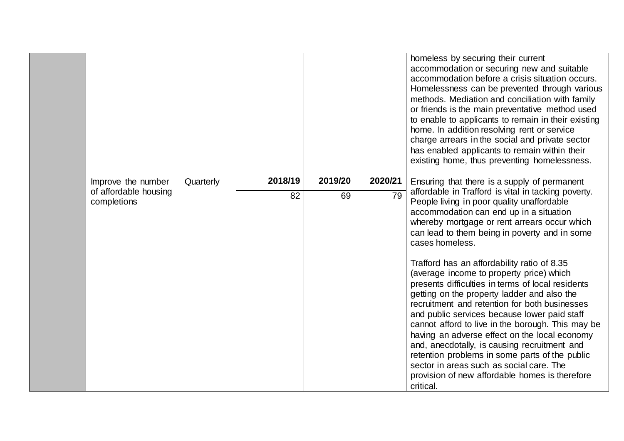|                                      |           |         |         |         | homeless by securing their current<br>accommodation or securing new and suitable<br>accommodation before a crisis situation occurs.<br>Homelessness can be prevented through various<br>methods. Mediation and conciliation with family<br>or friends is the main preventative method used<br>to enable to applicants to remain in their existing<br>home. In addition resolving rent or service<br>charge arrears in the social and private sector<br>has enabled applicants to remain within their<br>existing home, thus preventing homelessness.                                                                                                                                                                                                                                                                                                                                |
|--------------------------------------|-----------|---------|---------|---------|-------------------------------------------------------------------------------------------------------------------------------------------------------------------------------------------------------------------------------------------------------------------------------------------------------------------------------------------------------------------------------------------------------------------------------------------------------------------------------------------------------------------------------------------------------------------------------------------------------------------------------------------------------------------------------------------------------------------------------------------------------------------------------------------------------------------------------------------------------------------------------------|
| Improve the number                   | Quarterly | 2018/19 | 2019/20 | 2020/21 | Ensuring that there is a supply of permanent                                                                                                                                                                                                                                                                                                                                                                                                                                                                                                                                                                                                                                                                                                                                                                                                                                        |
| of affordable housing<br>completions |           | 82      | 69      | 79      | affordable in Trafford is vital in tacking poverty.<br>People living in poor quality unaffordable<br>accommodation can end up in a situation<br>whereby mortgage or rent arrears occur which<br>can lead to them being in poverty and in some<br>cases homeless.<br>Trafford has an affordability ratio of 8.35<br>(average income to property price) which<br>presents difficulties in terms of local residents<br>getting on the property ladder and also the<br>recruitment and retention for both businesses<br>and public services because lower paid staff<br>cannot afford to live in the borough. This may be<br>having an adverse effect on the local economy<br>and, anecdotally, is causing recruitment and<br>retention problems in some parts of the public<br>sector in areas such as social care. The<br>provision of new affordable homes is therefore<br>critical. |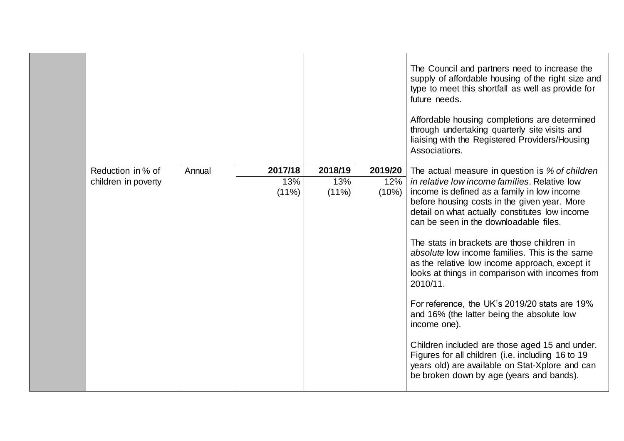|                                          |        |                 |                            |                         | The Council and partners need to increase the<br>supply of affordable housing of the right size and<br>type to meet this shortfall as well as provide for<br>future needs.<br>Affordable housing completions are determined<br>through undertaking quarterly site visits and<br>liaising with the Registered Providers/Housing<br>Associations.                                                                                                                                                               |
|------------------------------------------|--------|-----------------|----------------------------|-------------------------|---------------------------------------------------------------------------------------------------------------------------------------------------------------------------------------------------------------------------------------------------------------------------------------------------------------------------------------------------------------------------------------------------------------------------------------------------------------------------------------------------------------|
|                                          |        | 2017/18         |                            |                         |                                                                                                                                                                                                                                                                                                                                                                                                                                                                                                               |
| Reduction in % of<br>children in poverty | Annual | 13%<br>$(11\%)$ | 2018/19<br>13%<br>$(11\%)$ | 2019/20<br>12%<br>(10%) | The actual measure in question is % of children<br>in relative low income families. Relative low<br>income is defined as a family in low income<br>before housing costs in the given year. More<br>detail on what actually constitutes low income<br>can be seen in the downloadable files.<br>The stats in brackets are those children in<br>absolute low income families. This is the same<br>as the relative low income approach, except it<br>looks at things in comparison with incomes from<br>2010/11. |
|                                          |        |                 |                            |                         | For reference, the UK's 2019/20 stats are 19%<br>and 16% (the latter being the absolute low<br>income one).<br>Children included are those aged 15 and under.<br>Figures for all children (i.e. including 16 to 19<br>years old) are available on Stat-Xplore and can                                                                                                                                                                                                                                         |
|                                          |        |                 |                            |                         | be broken down by age (years and bands).                                                                                                                                                                                                                                                                                                                                                                                                                                                                      |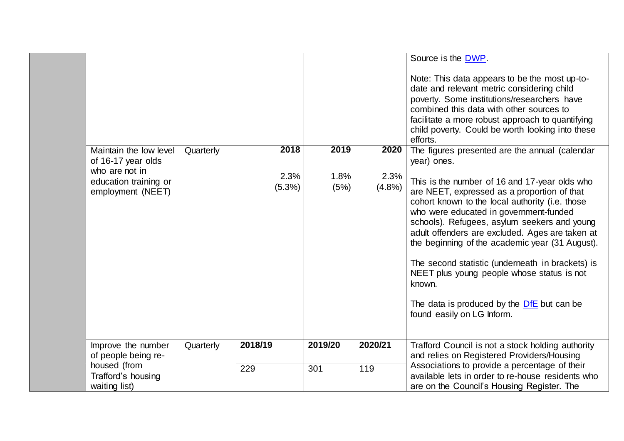|                                                                                                              |           |                        |                      |                        | Source is the DWP.<br>Note: This data appears to be the most up-to-<br>date and relevant metric considering child<br>poverty. Some institutions/researchers have<br>combined this data with other sources to<br>facilitate a more robust approach to quantifying<br>child poverty. Could be worth looking into these<br>efforts.                                                                                                                                                                                                                                                                         |
|--------------------------------------------------------------------------------------------------------------|-----------|------------------------|----------------------|------------------------|----------------------------------------------------------------------------------------------------------------------------------------------------------------------------------------------------------------------------------------------------------------------------------------------------------------------------------------------------------------------------------------------------------------------------------------------------------------------------------------------------------------------------------------------------------------------------------------------------------|
| Maintain the low level<br>of 16-17 year olds<br>who are not in<br>education training or<br>employment (NEET) | Quarterly | 2018<br>2.3%<br>(5.3%) | 2019<br>1.8%<br>(5%) | 2020<br>2.3%<br>(4.8%) | The figures presented are the annual (calendar<br>year) ones.<br>This is the number of 16 and 17-year olds who<br>are NEET, expressed as a proportion of that<br>cohort known to the local authority (i.e. those<br>who were educated in government-funded<br>schools). Refugees, asylum seekers and young<br>adult offenders are excluded. Ages are taken at<br>the beginning of the academic year (31 August).<br>The second statistic (underneath in brackets) is<br>NEET plus young people whose status is not<br>known.<br>The data is produced by the DfE but can be<br>found easily on LG Inform. |
| Improve the number<br>of people being re-<br>housed (from<br>Trafford's housing<br>waiting list)             | Quarterly | 2018/19<br>229         | 2019/20<br>301       | 2020/21<br>119         | Trafford Council is not a stock holding authority<br>and relies on Registered Providers/Housing<br>Associations to provide a percentage of their<br>available lets in order to re-house residents who<br>are on the Council's Housing Register. The                                                                                                                                                                                                                                                                                                                                                      |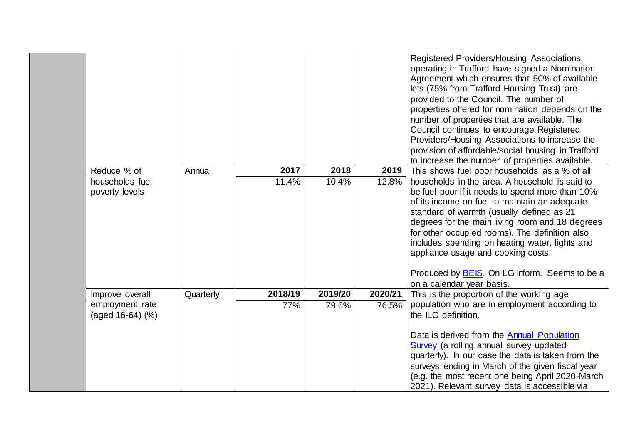|                                                  |           |               |               |               | Registered Providers/Housing Associations<br>operating in Trafford have signed a Nomination<br>Agreement which ensures that 50% of available<br>lets (75% from Trafford Housing Trust) are<br>provided to the Council. The number of<br>properties offered for nomination depends on the<br>number of properties that are available. The<br>Council continues to encourage Registered<br>Providers/Housing Associations to increase the<br>provision of affordable/social housing in Trafford<br>to increase the number of properties available. |
|--------------------------------------------------|-----------|---------------|---------------|---------------|--------------------------------------------------------------------------------------------------------------------------------------------------------------------------------------------------------------------------------------------------------------------------------------------------------------------------------------------------------------------------------------------------------------------------------------------------------------------------------------------------------------------------------------------------|
| Reduce % of<br>households fuel<br>poverty levels | Annual    | 2017<br>11.4% | 2018<br>10.4% | 2019<br>12.8% | This shows fuel poor households as a % of all<br>households in the area. A household is said to<br>be fuel poor if it needs to spend more than 10%<br>of its income on fuel to maintain an adequate<br>standard of warmth (usually defined as 21<br>degrees for the main living room and 18 degrees<br>for other occupied rooms). The definition also<br>includes spending on heating water, lights and<br>appliance usage and cooking costs.<br>Produced by BEIS. On LG Inform. Seems to be a                                                   |
| Improve overall                                  | Quarterly | 2018/19       | 2019/20       | 2020/21       | on a calendar year basis.<br>This is the proportion of the working age                                                                                                                                                                                                                                                                                                                                                                                                                                                                           |
| employment rate<br>(aged 16-64) (%)              |           | 77%           | 79.6%         | 76.5%         | population who are in employment according to<br>the ILO definition.<br>Data is derived from the Annual Population<br>Survey (a rolling annual survey updated<br>quarterly). In our case the data is taken from the<br>surveys ending in March of the given fiscal year<br>(e.g. the most recent one being April 2020-March<br>2021). Relevant survey data is accessible via                                                                                                                                                                     |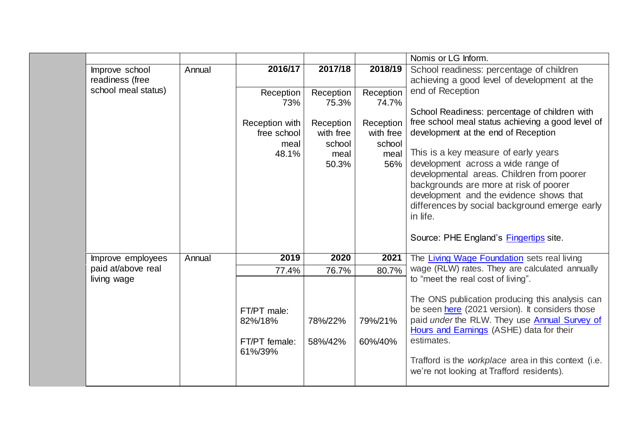|                                   |        |                                                                    |                                                                         |                                                                       | Nomis or LG Inform.                                                                                                                                                                                                                                                                                                                                                                                                                                                                         |
|-----------------------------------|--------|--------------------------------------------------------------------|-------------------------------------------------------------------------|-----------------------------------------------------------------------|---------------------------------------------------------------------------------------------------------------------------------------------------------------------------------------------------------------------------------------------------------------------------------------------------------------------------------------------------------------------------------------------------------------------------------------------------------------------------------------------|
| Improve school<br>readiness (free | Annual | 2016/17                                                            | 2017/18                                                                 | 2018/19                                                               | School readiness: percentage of children<br>achieving a good level of development at the                                                                                                                                                                                                                                                                                                                                                                                                    |
| school meal status)               |        | Reception<br>73%<br>Reception with<br>free school<br>meal<br>48.1% | Reception<br>75.3%<br>Reception<br>with free<br>school<br>meal<br>50.3% | Reception<br>74.7%<br>Reception<br>with free<br>school<br>meal<br>56% | end of Reception<br>School Readiness: percentage of children with<br>free school meal status achieving a good level of<br>development at the end of Reception<br>This is a key measure of early years<br>development across a wide range of<br>developmental areas. Children from poorer<br>backgrounds are more at risk of poorer<br>development and the evidence shows that<br>differences by social background emerge early<br>in life.<br>Source: PHE England's <b>Fingertips</b> site. |
| Improve employees                 | Annual | 2019                                                               | 2020                                                                    | 2021                                                                  | The Living Wage Foundation sets real living                                                                                                                                                                                                                                                                                                                                                                                                                                                 |
| paid at/above real                |        | 77.4%                                                              | 76.7%                                                                   | 80.7%                                                                 | wage (RLW) rates. They are calculated annually                                                                                                                                                                                                                                                                                                                                                                                                                                              |
| living wage                       |        | FT/PT male:<br>82%/18%<br>FT/PT female:<br>61%/39%                 | 78%/22%<br>58%/42%                                                      | 79%/21%<br>60%/40%                                                    | to "meet the real cost of living".<br>The ONS publication producing this analysis can<br>be seen here (2021 version). It considers those<br>paid under the RLW. They use <b>Annual Survey of</b><br>Hours and Earnings (ASHE) data for their<br>estimates.<br>Trafford is the workplace area in this context (i.e.<br>we're not looking at Trafford residents).                                                                                                                             |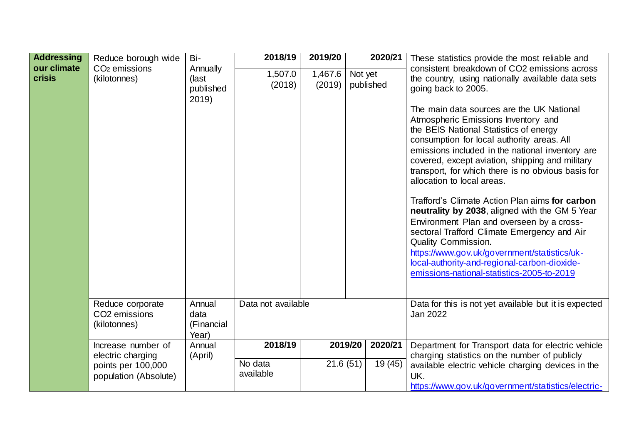| <b>Addressing</b><br>our climate<br><b>crisis</b> | Reduce borough wide<br>CO <sub>2</sub> emissions<br>(kilotonnes)                       | Bi-<br>Annually<br>(last<br>published<br>2019) | 2018/19<br>1,507.0<br>(2018)    | 2019/20<br>1,467.6<br>(2019) | Not yet<br>published | 2020/21            | These statistics provide the most reliable and<br>consistent breakdown of CO2 emissions across<br>the country, using nationally available data sets<br>going back to 2005.<br>The main data sources are the UK National<br>Atmospheric Emissions Inventory and<br>the BEIS National Statistics of energy               |
|---------------------------------------------------|----------------------------------------------------------------------------------------|------------------------------------------------|---------------------------------|------------------------------|----------------------|--------------------|------------------------------------------------------------------------------------------------------------------------------------------------------------------------------------------------------------------------------------------------------------------------------------------------------------------------|
|                                                   |                                                                                        |                                                |                                 |                              |                      |                    | consumption for local authority areas. All<br>emissions included in the national inventory are<br>covered, except aviation, shipping and military<br>transport, for which there is no obvious basis for<br>allocation to local areas.<br>Trafford's Climate Action Plan aims for carbon                                |
|                                                   |                                                                                        |                                                |                                 |                              |                      |                    | neutrality by 2038, aligned with the GM 5 Year<br>Environment Plan and overseen by a cross-<br>sectoral Trafford Climate Emergency and Air<br><b>Quality Commission.</b><br>https://www.gov.uk/government/statistics/uk-<br>local-authority-and-regional-carbon-dioxide-<br>emissions-national-statistics-2005-to-2019 |
|                                                   | Reduce corporate<br>CO <sub>2</sub> emissions<br>(kilotonnes)                          | Annual<br>data<br>(Financial<br>Year)          | Data not available              |                              |                      |                    | Data for this is not yet available but it is expected<br>Jan 2022                                                                                                                                                                                                                                                      |
|                                                   | Increase number of<br>electric charging<br>points per 100,000<br>population (Absolute) | Annual<br>(April)                              | 2018/19<br>No data<br>available | 21.6(51)                     | 2019/20              | 2020/21<br>19 (45) | Department for Transport data for electric vehicle<br>charging statistics on the number of publicly<br>available electric vehicle charging devices in the<br>UK.<br>https://www.gov.uk/government/statistics/electric-                                                                                                 |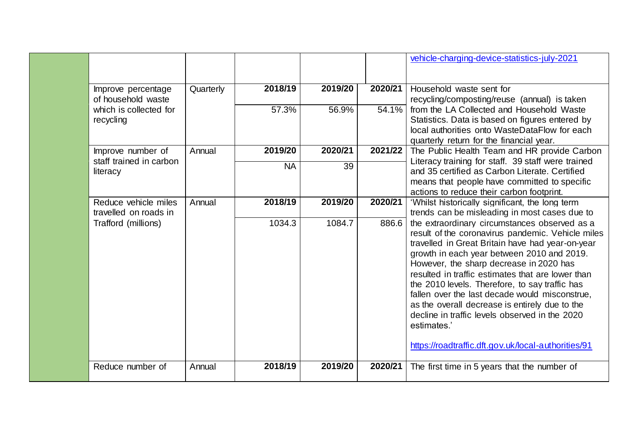|                                               |           |           |         |         | vehicle-charging-device-statistics-july-2021                                                                                                                                                                                                                                                                                                                                                                                                                                                                                                                                       |
|-----------------------------------------------|-----------|-----------|---------|---------|------------------------------------------------------------------------------------------------------------------------------------------------------------------------------------------------------------------------------------------------------------------------------------------------------------------------------------------------------------------------------------------------------------------------------------------------------------------------------------------------------------------------------------------------------------------------------------|
| Improve percentage<br>of household waste      | Quarterly | 2018/19   | 2019/20 | 2020/21 | Household waste sent for<br>recycling/composting/reuse (annual) is taken                                                                                                                                                                                                                                                                                                                                                                                                                                                                                                           |
| which is collected for<br>recycling           |           | 57.3%     | 56.9%   | 54.1%   | from the LA Collected and Household Waste<br>Statistics. Data is based on figures entered by<br>local authorities onto WasteDataFlow for each<br>quarterly return for the financial year.                                                                                                                                                                                                                                                                                                                                                                                          |
| Improve number of                             | Annual    | 2019/20   | 2020/21 | 2021/22 | The Public Health Team and HR provide Carbon                                                                                                                                                                                                                                                                                                                                                                                                                                                                                                                                       |
| staff trained in carbon<br>literacy           |           | <b>NA</b> | 39      |         | Literacy training for staff. 39 staff were trained<br>and 35 certified as Carbon Literate. Certified<br>means that people have committed to specific<br>actions to reduce their carbon footprint.                                                                                                                                                                                                                                                                                                                                                                                  |
| Reduce vehicle miles<br>travelled on roads in | Annual    | 2018/19   | 2019/20 | 2020/21 | 'Whilst historically significant, the long term<br>trends can be misleading in most cases due to                                                                                                                                                                                                                                                                                                                                                                                                                                                                                   |
| Trafford (millions)                           |           | 1034.3    | 1084.7  | 886.6   | the extraordinary circumstances observed as a<br>result of the coronavirus pandemic. Vehicle miles<br>travelled in Great Britain have had year-on-year<br>growth in each year between 2010 and 2019.<br>However, the sharp decrease in 2020 has<br>resulted in traffic estimates that are lower than<br>the 2010 levels. Therefore, to say traffic has<br>fallen over the last decade would misconstrue,<br>as the overall decrease is entirely due to the<br>decline in traffic levels observed in the 2020<br>estimates.'<br>https://roadtraffic.dft.gov.uk/local-authorities/91 |
| Reduce number of                              | Annual    | 2018/19   | 2019/20 | 2020/21 | The first time in 5 years that the number of                                                                                                                                                                                                                                                                                                                                                                                                                                                                                                                                       |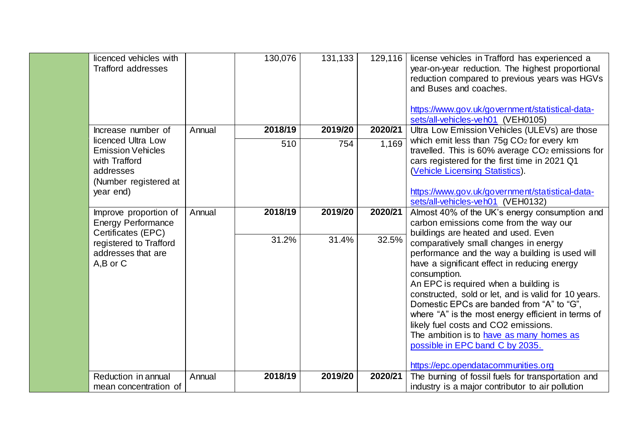| licenced vehicles with<br><b>Trafford addresses</b>                                                                |        | 130,076 | 131,133 |         | 129,116   license vehicles in Trafford has experienced a<br>year-on-year reduction. The highest proportional<br>reduction compared to previous years was HGVs<br>and Buses and coaches.                                                                                                                                                                                                                                                                                                                                    |
|--------------------------------------------------------------------------------------------------------------------|--------|---------|---------|---------|----------------------------------------------------------------------------------------------------------------------------------------------------------------------------------------------------------------------------------------------------------------------------------------------------------------------------------------------------------------------------------------------------------------------------------------------------------------------------------------------------------------------------|
| Increase number of                                                                                                 | Annual | 2018/19 | 2019/20 | 2020/21 | https://www.gov.uk/government/statistical-data-<br>sets/all-vehicles-veh01 (VEH0105)<br>Ultra Low Emission Vehicles (ULEVs) are those                                                                                                                                                                                                                                                                                                                                                                                      |
| licenced Ultra Low<br><b>Emission Vehicles</b><br>with Trafford<br>addresses<br>(Number registered at<br>year end) |        | 510     | 754     | 1,169   | which emit less than 75g CO <sub>2</sub> for every km<br>travelled. This is 60% average CO <sub>2</sub> emissions for<br>cars registered for the first time in 2021 Q1<br>(Vehicle Licensing Statistics).<br>https://www.gov.uk/government/statistical-data-<br>sets/all-vehicles-veh01 (VEH0132)                                                                                                                                                                                                                          |
| Improve proportion of<br><b>Energy Performance</b><br>Certificates (EPC)                                           | Annual | 2018/19 | 2019/20 | 2020/21 | Almost 40% of the UK's energy consumption and<br>carbon emissions come from the way our<br>buildings are heated and used. Even                                                                                                                                                                                                                                                                                                                                                                                             |
| registered to Trafford<br>addresses that are<br>A,B or C                                                           |        | 31.2%   | 31.4%   | 32.5%   | comparatively small changes in energy<br>performance and the way a building is used will<br>have a significant effect in reducing energy<br>consumption.<br>An EPC is required when a building is<br>constructed, sold or let, and is valid for 10 years.<br>Domestic EPCs are banded from "A" to "G",<br>where "A" is the most energy efficient in terms of<br>likely fuel costs and CO2 emissions.<br>The ambition is to have as many homes as<br>possible in EPC band C by 2035.<br>https://epc.opendatacommunities.org |
| Reduction in annual<br>mean concentration of                                                                       | Annual | 2018/19 | 2019/20 | 2020/21 | The burning of fossil fuels for transportation and<br>industry is a major contributor to air pollution                                                                                                                                                                                                                                                                                                                                                                                                                     |
|                                                                                                                    |        |         |         |         |                                                                                                                                                                                                                                                                                                                                                                                                                                                                                                                            |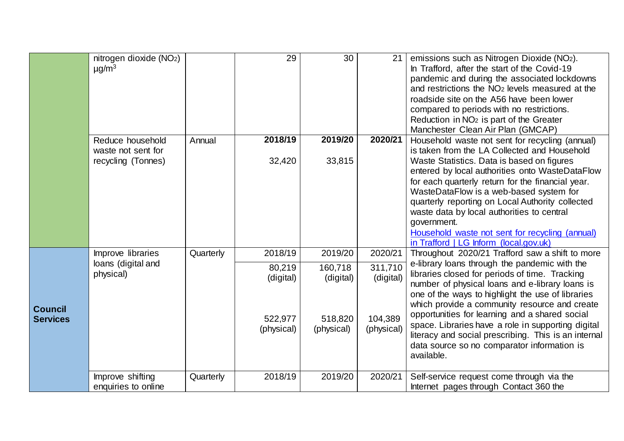|                 | nitrogen dioxide (NO <sub>2</sub> )    |           | 29         | 30         | 21         | emissions such as Nitrogen Dioxide (NO2).                                                       |
|-----------------|----------------------------------------|-----------|------------|------------|------------|-------------------------------------------------------------------------------------------------|
|                 | $\mu$ g/m <sup>3</sup>                 |           |            |            |            | In Trafford, after the start of the Covid-19                                                    |
|                 |                                        |           |            |            |            | pandemic and during the associated lockdowns                                                    |
|                 |                                        |           |            |            |            | and restrictions the NO <sub>2</sub> levels measured at the                                     |
|                 |                                        |           |            |            |            | roadside site on the A56 have been lower                                                        |
|                 |                                        |           |            |            |            | compared to periods with no restrictions.                                                       |
|                 |                                        |           |            |            |            | Reduction in NO <sub>2</sub> is part of the Greater                                             |
|                 |                                        |           |            |            |            | Manchester Clean Air Plan (GMCAP)                                                               |
|                 | Reduce household<br>waste not sent for | Annual    | 2018/19    | 2019/20    | 2020/21    | Household waste not sent for recycling (annual)<br>is taken from the LA Collected and Household |
|                 | recycling (Tonnes)                     |           | 32,420     | 33,815     |            | Waste Statistics. Data is based on figures                                                      |
|                 |                                        |           |            |            |            | entered by local authorities onto WasteDataFlow                                                 |
|                 |                                        |           |            |            |            | for each quarterly return for the financial year.                                               |
|                 |                                        |           |            |            |            | WasteDataFlow is a web-based system for                                                         |
|                 |                                        |           |            |            |            | quarterly reporting on Local Authority collected                                                |
|                 |                                        |           |            |            |            | waste data by local authorities to central                                                      |
|                 |                                        |           |            |            |            | government.                                                                                     |
|                 |                                        |           |            |            |            | Household waste not sent for recycling (annual)                                                 |
|                 |                                        |           |            |            |            | in Trafford   LG Inform (local.gov.uk)                                                          |
|                 | Improve libraries                      | Quarterly | 2018/19    | 2019/20    | 2020/21    | Throughout 2020/21 Trafford saw a shift to more                                                 |
|                 | loans (digital and                     |           | 80,219     | 160,718    | 311,710    | e-library loans through the pandemic with the                                                   |
|                 | physical)                              |           | (digital)  | (digital)  | (digital)  | libraries closed for periods of time. Tracking                                                  |
|                 |                                        |           |            |            |            | number of physical loans and e-library loans is                                                 |
|                 |                                        |           |            |            |            | one of the ways to highlight the use of libraries                                               |
| <b>Council</b>  |                                        |           |            |            |            | which provide a community resource and create<br>opportunities for learning and a shared social |
| <b>Services</b> |                                        |           | 522,977    | 518,820    | 104,389    | space. Libraries have a role in supporting digital                                              |
|                 |                                        |           | (physical) | (physical) | (physical) | literacy and social prescribing. This is an internal                                            |
|                 |                                        |           |            |            |            | data source so no comparator information is                                                     |
|                 |                                        |           |            |            |            | available.                                                                                      |
|                 |                                        |           |            |            |            |                                                                                                 |
|                 | Improve shifting                       | Quarterly | 2018/19    | 2019/20    | 2020/21    | Self-service request come through via the                                                       |
|                 | enquiries to online                    |           |            |            |            | Internet pages through Contact 360 the                                                          |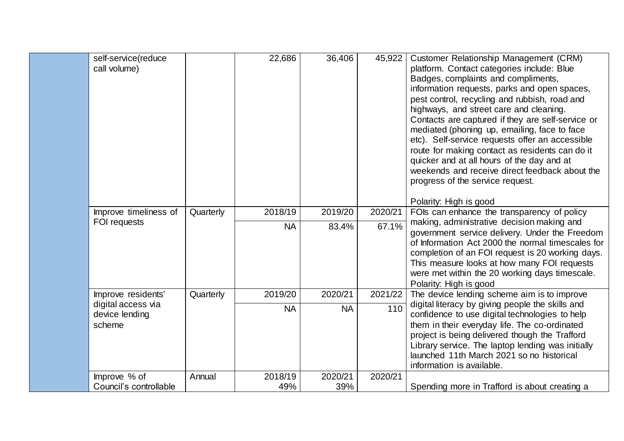| pest control, recycling and rubbish, road and<br>highways, and street care and cleaning.<br>mediated (phoning up, emailing, face to face<br>etc). Self-service requests offer an accessible<br>route for making contact as residents can do it<br>quicker and at all hours of the day and at<br>progress of the service request.<br>Polarity: High is good<br>2018/19<br>2019/20<br>2020/21<br>FOIs can enhance the transparency of policy<br>Improve timeliness of<br>Quarterly | self-service(reduce<br>call volume) | 22,686    | 36,406 | 45,922 | Customer Relationship Management (CRM)<br>platform. Contact categories include: Blue<br>Badges, complaints and compliments,<br>information requests, parks and open spaces,                           |
|----------------------------------------------------------------------------------------------------------------------------------------------------------------------------------------------------------------------------------------------------------------------------------------------------------------------------------------------------------------------------------------------------------------------------------------------------------------------------------|-------------------------------------|-----------|--------|--------|-------------------------------------------------------------------------------------------------------------------------------------------------------------------------------------------------------|
|                                                                                                                                                                                                                                                                                                                                                                                                                                                                                  |                                     |           |        |        | Contacts are captured if they are self-service or                                                                                                                                                     |
|                                                                                                                                                                                                                                                                                                                                                                                                                                                                                  |                                     |           |        |        | weekends and receive direct feedback about the                                                                                                                                                        |
|                                                                                                                                                                                                                                                                                                                                                                                                                                                                                  |                                     |           |        |        |                                                                                                                                                                                                       |
| This measure looks at how many FOI requests<br>were met within the 20 working days timescale.<br>Polarity: High is good                                                                                                                                                                                                                                                                                                                                                          | FOI requests                        | <b>NA</b> | 83.4%  | 67.1%  | making, administrative decision making and<br>government service delivery. Under the Freedom<br>of Information Act 2000 the normal timescales for<br>completion of an FOI request is 20 working days. |
| 2021/22<br>The device lending scheme aim is to improve<br>Quarterly<br>2019/20<br>2020/21<br>Improve residents'<br>digital access via<br>digital literacy by giving people the skills and                                                                                                                                                                                                                                                                                        |                                     |           |        |        |                                                                                                                                                                                                       |
| 110<br><b>NA</b><br><b>NA</b><br>device lending<br>confidence to use digital technologies to help<br>them in their everyday life. The co-ordinated<br>scheme<br>project is being delivered though the Trafford<br>Library service. The laptop lending was initially<br>launched 11th March 2021 so no historical<br>information is available.                                                                                                                                    |                                     |           |        |        |                                                                                                                                                                                                       |
| Improve % of<br>2018/19<br>2020/21<br>2020/21<br>Annual<br>Council's controllable<br>49%<br>39%<br>Spending more in Trafford is about creating a                                                                                                                                                                                                                                                                                                                                 |                                     |           |        |        |                                                                                                                                                                                                       |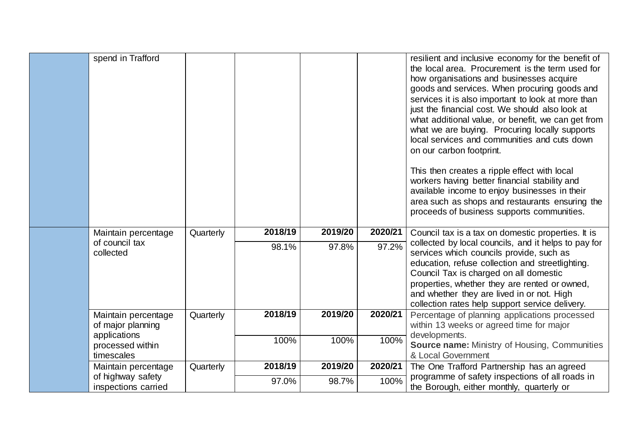| spend in Trafford                              |           |         |         |         | resilient and inclusive economy for the benefit of<br>the local area. Procurement is the term used for<br>how organisations and businesses acquire<br>goods and services. When procuring goods and<br>services it is also important to look at more than<br>just the financial cost. We should also look at<br>what additional value, or benefit, we can get from<br>what we are buying. Procuring locally supports<br>local services and communities and cuts down<br>on our carbon footprint.<br>This then creates a ripple effect with local<br>workers having better financial stability and<br>available income to enjoy businesses in their<br>area such as shops and restaurants ensuring the<br>proceeds of business supports communities. |
|------------------------------------------------|-----------|---------|---------|---------|----------------------------------------------------------------------------------------------------------------------------------------------------------------------------------------------------------------------------------------------------------------------------------------------------------------------------------------------------------------------------------------------------------------------------------------------------------------------------------------------------------------------------------------------------------------------------------------------------------------------------------------------------------------------------------------------------------------------------------------------------|
| Maintain percentage                            | Quarterly | 2018/19 | 2019/20 | 2020/21 | Council tax is a tax on domestic properties. It is                                                                                                                                                                                                                                                                                                                                                                                                                                                                                                                                                                                                                                                                                                 |
| of council tax<br>collected                    |           | 98.1%   | 97.8%   | 97.2%   | collected by local councils, and it helps to pay for<br>services which councils provide, such as<br>education, refuse collection and streetlighting.<br>Council Tax is charged on all domestic<br>properties, whether they are rented or owned,<br>and whether they are lived in or not. High<br>collection rates help support service delivery.                                                                                                                                                                                                                                                                                                                                                                                                   |
| Maintain percentage<br>of major planning       | Quarterly | 2018/19 | 2019/20 | 2020/21 | Percentage of planning applications processed<br>within 13 weeks or agreed time for major                                                                                                                                                                                                                                                                                                                                                                                                                                                                                                                                                                                                                                                          |
| applications<br>processed within<br>timescales |           | 100%    | 100%    | 100%    | developments.<br><b>Source name: Ministry of Housing, Communities</b><br>& Local Government                                                                                                                                                                                                                                                                                                                                                                                                                                                                                                                                                                                                                                                        |
| Maintain percentage                            | Quarterly | 2018/19 | 2019/20 | 2020/21 | The One Trafford Partnership has an agreed                                                                                                                                                                                                                                                                                                                                                                                                                                                                                                                                                                                                                                                                                                         |
| of highway safety<br>inspections carried       |           | 97.0%   | 98.7%   | 100%    | programme of safety inspections of all roads in<br>the Borough, either monthly, quarterly or                                                                                                                                                                                                                                                                                                                                                                                                                                                                                                                                                                                                                                                       |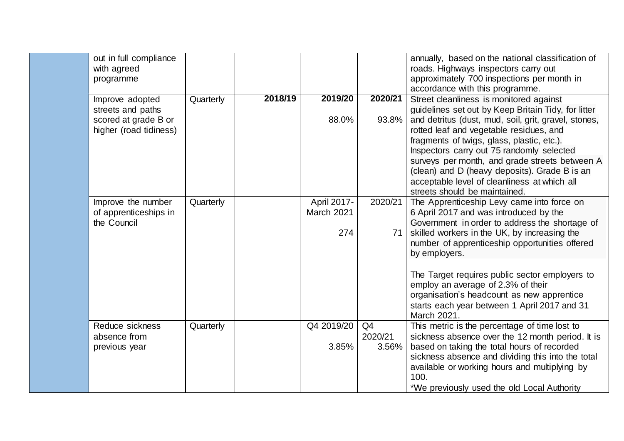| out in full compliance<br>with agreed<br>programme                                     |           |         |                                  |                        | annually, based on the national classification of<br>roads. Highways inspectors carry out<br>approximately 700 inspections per month in<br>accordance with this programme.                                                                                                                                                                                                                                                                                                       |
|----------------------------------------------------------------------------------------|-----------|---------|----------------------------------|------------------------|----------------------------------------------------------------------------------------------------------------------------------------------------------------------------------------------------------------------------------------------------------------------------------------------------------------------------------------------------------------------------------------------------------------------------------------------------------------------------------|
| Improve adopted<br>streets and paths<br>scored at grade B or<br>higher (road tidiness) | Quarterly | 2018/19 | 2019/20<br>88.0%                 | 2020/21<br>93.8%       | Street cleanliness is monitored against<br>quidelines set out by Keep Britain Tidy, for litter<br>and detritus (dust, mud, soil, grit, gravel, stones,<br>rotted leaf and vegetable residues, and<br>fragments of twigs, glass, plastic, etc.).<br>Inspectors carry out 75 randomly selected<br>surveys per month, and grade streets between A<br>(clean) and D (heavy deposits). Grade B is an<br>acceptable level of cleanliness at which all<br>streets should be maintained. |
| Improve the number<br>of apprenticeships in<br>the Council                             | Quarterly |         | April 2017-<br>March 2021<br>274 | 2020/21<br>71          | The Apprenticeship Levy came into force on<br>6 April 2017 and was introduced by the<br>Government in order to address the shortage of<br>skilled workers in the UK, by increasing the<br>number of apprenticeship opportunities offered<br>by employers.                                                                                                                                                                                                                        |
|                                                                                        |           |         |                                  |                        | The Target requires public sector employers to<br>employ an average of 2.3% of their<br>organisation's headcount as new apprentice<br>starts each year between 1 April 2017 and 31<br>March 2021.                                                                                                                                                                                                                                                                                |
| Reduce sickness<br>absence from<br>previous year                                       | Quarterly |         | Q4 2019/20<br>3.85%              | Q4<br>2020/21<br>3.56% | This metric is the percentage of time lost to<br>sickness absence over the 12 month period. It is<br>based on taking the total hours of recorded<br>sickness absence and dividing this into the total<br>available or working hours and multiplying by<br>100.<br>*We previously used the old Local Authority                                                                                                                                                                    |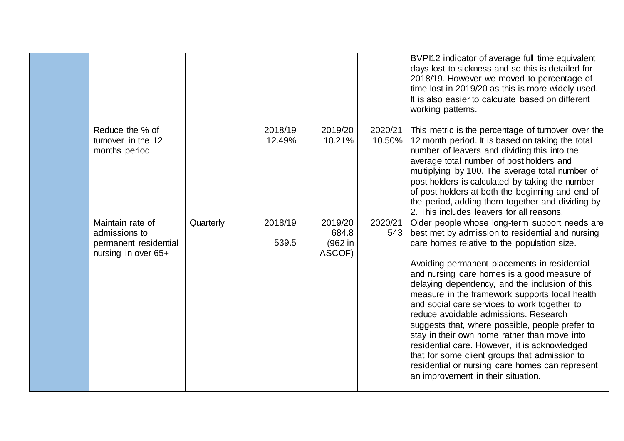|                                                                                   |           |                   |                                       |                   | BVPI12 indicator of average full time equivalent<br>days lost to sickness and so this is detailed for<br>2018/19. However we moved to percentage of<br>time lost in 2019/20 as this is more widely used.<br>It is also easier to calculate based on different<br>working patterns.                                                                                                                                                                                                                                                                                                                                                                                                                                                          |
|-----------------------------------------------------------------------------------|-----------|-------------------|---------------------------------------|-------------------|---------------------------------------------------------------------------------------------------------------------------------------------------------------------------------------------------------------------------------------------------------------------------------------------------------------------------------------------------------------------------------------------------------------------------------------------------------------------------------------------------------------------------------------------------------------------------------------------------------------------------------------------------------------------------------------------------------------------------------------------|
| Reduce the % of<br>turnover in the 12<br>months period                            |           | 2018/19<br>12.49% | 2019/20<br>10.21%                     | 2020/21<br>10.50% | This metric is the percentage of turnover over the<br>12 month period. It is based on taking the total<br>number of leavers and dividing this into the<br>average total number of post holders and<br>multiplying by 100. The average total number of<br>post holders is calculated by taking the number<br>of post holders at both the beginning and end of<br>the period, adding them together and dividing by<br>2. This includes leavers for all reasons.                                                                                                                                                                                                                                                                               |
| Maintain rate of<br>admissions to<br>permanent residential<br>nursing in over 65+ | Quarterly | 2018/19<br>539.5  | 2019/20<br>684.8<br>(962 in<br>ASCOF) | 2020/21<br>543    | Older people whose long-term support needs are<br>best met by admission to residential and nursing<br>care homes relative to the population size.<br>Avoiding permanent placements in residential<br>and nursing care homes is a good measure of<br>delaying dependency, and the inclusion of this<br>measure in the framework supports local health<br>and social care services to work together to<br>reduce avoidable admissions. Research<br>suggests that, where possible, people prefer to<br>stay in their own home rather than move into<br>residential care. However, it is acknowledged<br>that for some client groups that admission to<br>residential or nursing care homes can represent<br>an improvement in their situation. |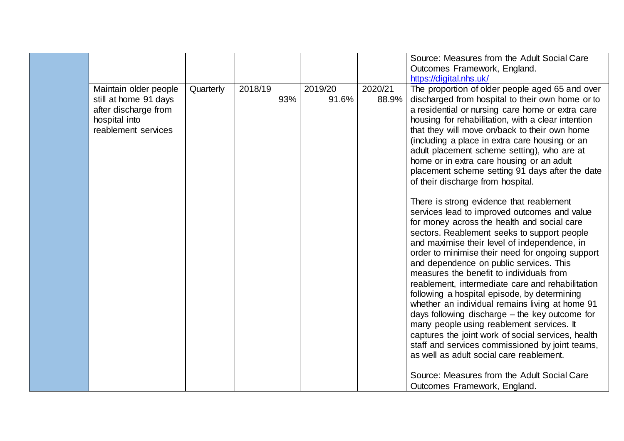|                                                |           |         |     |                  |                  | Source: Measures from the Adult Social Care<br>Outcomes Framework, England.                            |
|------------------------------------------------|-----------|---------|-----|------------------|------------------|--------------------------------------------------------------------------------------------------------|
|                                                |           |         |     |                  |                  | https://digital.nhs.uk/                                                                                |
| Maintain older people<br>still at home 91 days | Quarterly | 2018/19 | 93% | 2019/20<br>91.6% | 2020/21<br>88.9% | The proportion of older people aged 65 and over<br>discharged from hospital to their own home or to    |
| after discharge from<br>hospital into          |           |         |     |                  |                  | a residential or nursing care home or extra care<br>housing for rehabilitation, with a clear intention |
| reablement services                            |           |         |     |                  |                  | that they will move on/back to their own home                                                          |
|                                                |           |         |     |                  |                  | (including a place in extra care housing or an<br>adult placement scheme setting), who are at          |
|                                                |           |         |     |                  |                  | home or in extra care housing or an adult                                                              |
|                                                |           |         |     |                  |                  | placement scheme setting 91 days after the date<br>of their discharge from hospital.                   |
|                                                |           |         |     |                  |                  | There is strong evidence that reablement                                                               |
|                                                |           |         |     |                  |                  | services lead to improved outcomes and value<br>for money across the health and social care            |
|                                                |           |         |     |                  |                  | sectors. Reablement seeks to support people                                                            |
|                                                |           |         |     |                  |                  | and maximise their level of independence, in<br>order to minimise their need for ongoing support       |
|                                                |           |         |     |                  |                  | and dependence on public services. This<br>measures the benefit to individuals from                    |
|                                                |           |         |     |                  |                  | reablement, intermediate care and rehabilitation                                                       |
|                                                |           |         |     |                  |                  | following a hospital episode, by determining<br>whether an individual remains living at home 91        |
|                                                |           |         |     |                  |                  | days following discharge – the key outcome for                                                         |
|                                                |           |         |     |                  |                  | many people using reablement services. It<br>captures the joint work of social services, health        |
|                                                |           |         |     |                  |                  | staff and services commissioned by joint teams,<br>as well as adult social care reablement.            |
|                                                |           |         |     |                  |                  |                                                                                                        |
|                                                |           |         |     |                  |                  | Source: Measures from the Adult Social Care                                                            |
|                                                |           |         |     |                  |                  | Outcomes Framework, England.                                                                           |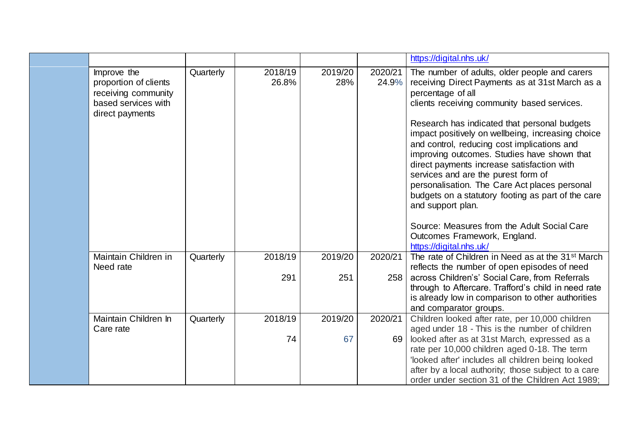|  |                 |                                                                                    |           |                  |                |                                                                                                                                                                                                                                                                                                                                                                                                                  | https://digital.nhs.uk/                                                                                                                                                                                                                                       |
|--|-----------------|------------------------------------------------------------------------------------|-----------|------------------|----------------|------------------------------------------------------------------------------------------------------------------------------------------------------------------------------------------------------------------------------------------------------------------------------------------------------------------------------------------------------------------------------------------------------------------|---------------------------------------------------------------------------------------------------------------------------------------------------------------------------------------------------------------------------------------------------------------|
|  |                 | Improve the<br>proportion of clients<br>receiving community<br>based services with | Quarterly | 2018/19<br>26.8% | 2019/20<br>28% | 2020/21<br>24.9%                                                                                                                                                                                                                                                                                                                                                                                                 | The number of adults, older people and carers<br>receiving Direct Payments as at 31st March as a<br>percentage of all<br>clients receiving community based services.                                                                                          |
|  | direct payments |                                                                                    |           |                  |                | Research has indicated that personal budgets<br>impact positively on wellbeing, increasing choice<br>and control, reducing cost implications and<br>improving outcomes. Studies have shown that<br>direct payments increase satisfaction with<br>services and are the purest form of<br>personalisation. The Care Act places personal<br>budgets on a statutory footing as part of the care<br>and support plan. |                                                                                                                                                                                                                                                               |
|  |                 |                                                                                    |           |                  |                |                                                                                                                                                                                                                                                                                                                                                                                                                  | Source: Measures from the Adult Social Care<br>Outcomes Framework, England.<br>https://digital.nhs.uk/                                                                                                                                                        |
|  |                 | Maintain Children in                                                               | Quarterly | 2018/19          | 2019/20        | 2020/21                                                                                                                                                                                                                                                                                                                                                                                                          | The rate of Children in Need as at the 31 <sup>st</sup> March                                                                                                                                                                                                 |
|  |                 | Need rate                                                                          |           | 291              | 251            | 258                                                                                                                                                                                                                                                                                                                                                                                                              | reflects the number of open episodes of need<br>across Children's' Social Care, from Referrals<br>through to Aftercare. Trafford's child in need rate<br>is already low in comparison to other authorities                                                    |
|  |                 |                                                                                    |           |                  |                |                                                                                                                                                                                                                                                                                                                                                                                                                  | and comparator groups.                                                                                                                                                                                                                                        |
|  |                 | Maintain Children In<br>Care rate                                                  | Quarterly | 2018/19          | 2019/20        | 2020/21                                                                                                                                                                                                                                                                                                                                                                                                          | Children looked after rate, per 10,000 children<br>aged under 18 - This is the number of children                                                                                                                                                             |
|  |                 |                                                                                    |           | 74               | 67             | 69                                                                                                                                                                                                                                                                                                                                                                                                               | looked after as at 31st March, expressed as a<br>rate per 10,000 children aged 0-18. The term<br>'looked after' includes all children being looked<br>after by a local authority; those subject to a care<br>order under section 31 of the Children Act 1989; |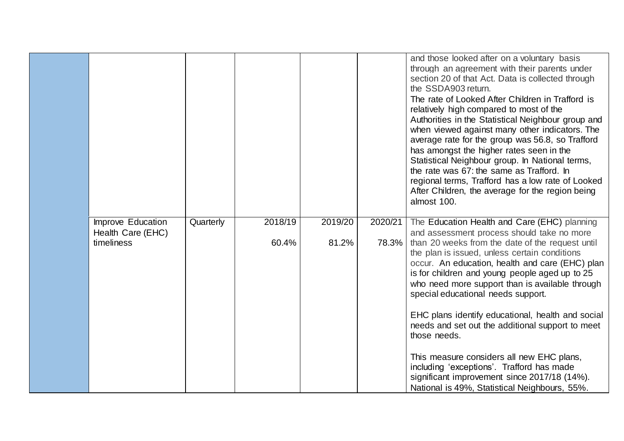|                                        |           |         |         |         | and those looked after on a voluntary basis<br>through an agreement with their parents under<br>section 20 of that Act. Data is collected through<br>the SSDA903 return.<br>The rate of Looked After Children in Trafford is<br>relatively high compared to most of the<br>Authorities in the Statistical Neighbour group and<br>when viewed against many other indicators. The<br>average rate for the group was 56.8, so Trafford<br>has amongst the higher rates seen in the<br>Statistical Neighbour group. In National terms,<br>the rate was 67: the same as Trafford. In<br>regional terms, Trafford has a low rate of Looked<br>After Children, the average for the region being<br>almost 100. |
|----------------------------------------|-----------|---------|---------|---------|---------------------------------------------------------------------------------------------------------------------------------------------------------------------------------------------------------------------------------------------------------------------------------------------------------------------------------------------------------------------------------------------------------------------------------------------------------------------------------------------------------------------------------------------------------------------------------------------------------------------------------------------------------------------------------------------------------|
| Improve Education<br>Health Care (EHC) | Quarterly | 2018/19 | 2019/20 | 2020/21 | The Education Health and Care (EHC) planning<br>and assessment process should take no more                                                                                                                                                                                                                                                                                                                                                                                                                                                                                                                                                                                                              |
| timeliness                             |           | 60.4%   | 81.2%   | 78.3%   | than 20 weeks from the date of the request until<br>the plan is issued, unless certain conditions<br>occur. An education, health and care (EHC) plan<br>is for children and young people aged up to 25<br>who need more support than is available through<br>special educational needs support.                                                                                                                                                                                                                                                                                                                                                                                                         |
|                                        |           |         |         |         | EHC plans identify educational, health and social<br>needs and set out the additional support to meet<br>those needs.                                                                                                                                                                                                                                                                                                                                                                                                                                                                                                                                                                                   |
|                                        |           |         |         |         | This measure considers all new EHC plans,<br>including 'exceptions'. Trafford has made<br>significant improvement since 2017/18 (14%).<br>National is 49%, Statistical Neighbours, 55%.                                                                                                                                                                                                                                                                                                                                                                                                                                                                                                                 |